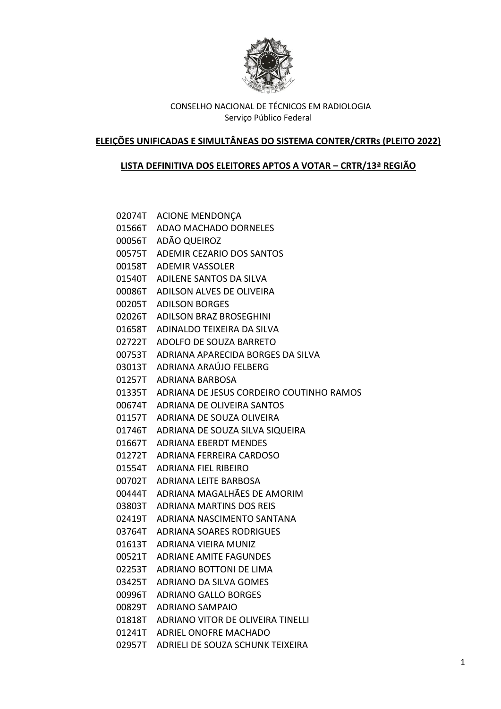

## **ELEIÇÕES UNIFICADAS E SIMULTÂNEAS DO SISTEMA CONTER/CRTRs (PLEITO 2022)**

## **LISTA DEFINITIVA DOS ELEITORES APTOS A VOTAR – CRTR/13ª REGIÃO**

02074T ACIONE MENDONÇA 01566T ADAO MACHADO DORNELES 00056T ADÃO QUEIROZ 00575T ADEMIR CEZARIO DOS SANTOS 00158T ADEMIR VASSOLER 01540T ADILENE SANTOS DA SILVA 00086T ADILSON ALVES DE OLIVEIRA 00205T ADILSON BORGES 02026T ADILSON BRAZ BROSEGHINI 01658T ADINALDO TEIXEIRA DA SILVA 02722T ADOLFO DE SOUZA BARRETO 00753T ADRIANA APARECIDA BORGES DA SILVA 03013T ADRIANA ARAÚJO FELBERG 01257T ADRIANA BARBOSA 01335T ADRIANA DE JESUS CORDEIRO COUTINHO RAMOS 00674T ADRIANA DE OLIVEIRA SANTOS 01157T ADRIANA DE SOUZA OLIVEIRA 01746T ADRIANA DE SOUZA SILVA SIQUEIRA 01667T ADRIANA EBERDT MENDES 01272T ADRIANA FERREIRA CARDOSO 01554T ADRIANA FIEL RIBEIRO 00702T ADRIANA LEITE BARBOSA 00444T ADRIANA MAGALHÃES DE AMORIM 03803T ADRIANA MARTINS DOS REIS 02419T ADRIANA NASCIMENTO SANTANA 03764T ADRIANA SOARES RODRIGUES 01613T ADRIANA VIEIRA MUNIZ 00521T ADRIANE AMITE FAGUNDES 02253T ADRIANO BOTTONI DE LIMA 03425T ADRIANO DA SILVA GOMES 00996T ADRIANO GALLO BORGES 00829T ADRIANO SAMPAIO 01818T ADRIANO VITOR DE OLIVEIRA TINELLI 01241T ADRIEL ONOFRE MACHADO 02957T ADRIELI DE SOUZA SCHUNK TEIXEIRA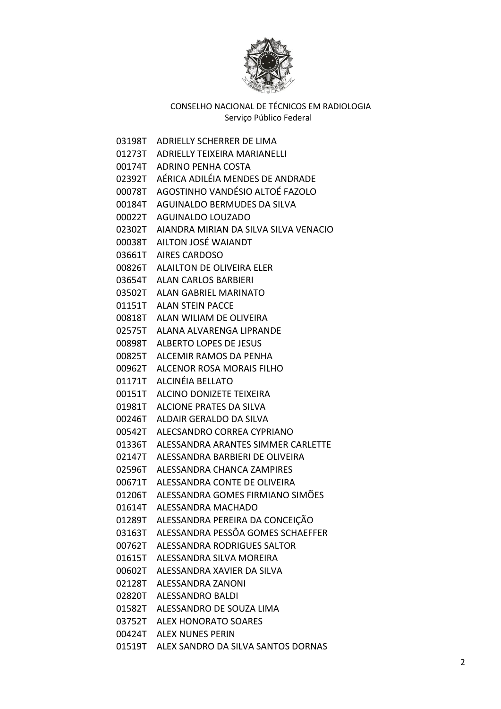

- 03198T ADRIELLY SCHERRER DE LIMA 01273T ADRIELLY TEIXEIRA MARIANELLI 00174T ADRINO PENHA COSTA 02392T AÉRICA ADILÉIA MENDES DE ANDRADE 00078T AGOSTINHO VANDÉSIO ALTOÉ FAZOLO 00184T AGUINALDO BERMUDES DA SILVA 00022T AGUINALDO LOUZADO 02302T AIANDRA MIRIAN DA SILVA SILVA VENACIO 00038T AILTON JOSÉ WAIANDT 03661T AIRES CARDOSO 00826T ALAILTON DE OLIVEIRA ELER 03654T ALAN CARLOS BARBIERI 03502T ALAN GABRIEL MARINATO 01151T ALAN STEIN PACCE 00818T ALAN WILIAM DE OLIVEIRA 02575T ALANA ALVARENGA LIPRANDE 00898T ALBERTO LOPES DE JESUS 00825T ALCEMIR RAMOS DA PENHA 00962T ALCENOR ROSA MORAIS FILHO 01171T ALCINÉIA BELLATO 00151T ALCINO DONIZETE TEIXEIRA 01981T ALCIONE PRATES DA SILVA 00246T ALDAIR GERALDO DA SILVA 00542T ALECSANDRO CORREA CYPRIANO 01336T ALESSANDRA ARANTES SIMMER CARLETTE 02147T ALESSANDRA BARBIERI DE OLIVEIRA 02596T ALESSANDRA CHANCA ZAMPIRES 00671T ALESSANDRA CONTE DE OLIVEIRA 01206T ALESSANDRA GOMES FIRMIANO SIMÕES 01614T ALESSANDRA MACHADO 01289T ALESSANDRA PEREIRA DA CONCEIÇÃO 03163T ALESSANDRA PESSÔA GOMES SCHAEFFER 00762T ALESSANDRA RODRIGUES SALTOR 01615T ALESSANDRA SILVA MOREIRA 00602T ALESSANDRA XAVIER DA SILVA 02128T ALESSANDRA ZANONI 02820T ALESSANDRO BALDI 01582T ALESSANDRO DE SOUZA LIMA 03752T ALEX HONORATO SOARES 00424T ALEX NUNES PERIN
- 01519T ALEX SANDRO DA SILVA SANTOS DORNAS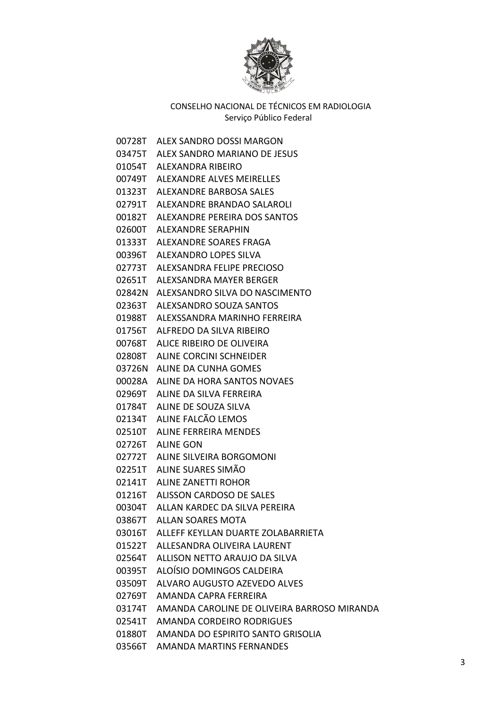

00728T ALEX SANDRO DOSSI MARGON 03475T ALEX SANDRO MARIANO DE JESUS 01054T ALEXANDRA RIBEIRO 00749T ALEXANDRE ALVES MEIRELLES 01323T ALEXANDRE BARBOSA SALES 02791T ALEXANDRE BRANDAO SALAROLI 00182T ALEXANDRE PEREIRA DOS SANTOS 02600T ALEXANDRE SERAPHIN 01333T ALEXANDRE SOARES FRAGA 00396T ALEXANDRO LOPES SILVA 02773T ALEXSANDRA FELIPE PRECIOSO 02651T ALEXSANDRA MAYER BERGER 02842N ALEXSANDRO SILVA DO NASCIMENTO 02363T ALEXSANDRO SOUZA SANTOS 01988T ALEXSSANDRA MARINHO FERREIRA 01756T ALFREDO DA SILVA RIBEIRO 00768T ALICE RIBEIRO DE OLIVEIRA 02808T ALINE CORCINI SCHNEIDER 03726N ALINE DA CUNHA GOMES 00028A ALINE DA HORA SANTOS NOVAES 02969T ALINE DA SILVA FERREIRA 01784T ALINE DE SOUZA SILVA 02134T ALINE FALCÃO LEMOS 02510T ALINE FERREIRA MENDES 02726T ALINE GON 02772T ALINE SILVEIRA BORGOMONI 02251T ALINE SUARES SIMÃO 02141T ALINE ZANETTI ROHOR 01216T ALISSON CARDOSO DE SALES 00304T ALLAN KARDEC DA SILVA PEREIRA 03867T ALLAN SOARES MOTA 03016T ALLEFF KEYLLAN DUARTE ZOLABARRIETA 01522T ALLESANDRA OLIVEIRA LAURENT 02564T ALLISON NETTO ARAUJO DA SILVA 00395T ALOÍSIO DOMINGOS CALDEIRA 03509T ALVARO AUGUSTO AZEVEDO ALVES 02769T AMANDA CAPRA FERREIRA 03174T AMANDA CAROLINE DE OLIVEIRA BARROSO MIRANDA 02541T AMANDA CORDEIRO RODRIGUES 01880T AMANDA DO ESPIRITO SANTO GRISOLIA 03566T AMANDA MARTINS FERNANDES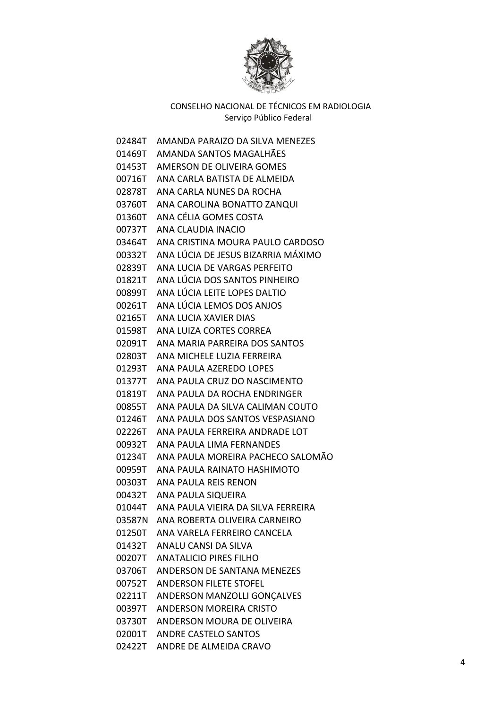

| 02484T | AMANDA PARAIZO DA SILVA MENEZES      |
|--------|--------------------------------------|
| 01469T | AMANDA SANTOS MAGALHÃES              |
| 01453T | AMERSON DE OLIVEIRA GOMES            |
| 00716T | ANA CARI A BATISTA DE ALMEIDA        |
| 02878T | ANA CARLA NUNES DA ROCHA             |
| 03760T | ANA CAROLINA BONATTO ZANQUI          |
| 01360T | ANA CÉLIA GOMES COSTA                |
| 00737T | ANA CLAUDIA INACIO                   |
| 03464T | ANA CRISTINA MOURA PAULO CARDOSO     |
| 00332T | ANA LÚCIA DE JESUS BIZARRIA MÁXIMO   |
| 02839T | ANA LUCIA DE VARGAS PERFEITO         |
| 01821T | ANA LÚCIA DOS SANTOS PINHEIRO        |
| 00899T | ANA LÚCIA LEITE LOPES DALTIO         |
| 00261T | ANA LÚCIA LEMOS DOS ANJOS            |
| 02165T | ANA LUCIA XAVIER DIAS                |
| 01598T | ANA LUIZA CORTES CORREA              |
| 02091T | ANA MARIA PARREIRA DOS SANTOS        |
| 02803T | ANA MICHELE LUZIA FERREIRA           |
| 01293T | ANA PAULA AZEREDO LOPES              |
| 01377T | ANA PAULA CRUZ DO NASCIMENTO         |
| 01819T | ANA PAULA DA ROCHA ENDRINGER         |
| 00855T | ANA PAULA DA SILVA CALIMAN COUTO     |
| 01246T | ANA PAULA DOS SANTOS VESPASIANO      |
| 02226T | ANA PAULA FERREIRA ANDRADE LOT       |
| 00932T | ANA PAULA LIMA FERNANDES             |
| 01234T | ANA PAULA MOREIRA PACHECO SALOMÃO    |
| 00959T | ANA PAULA RAINATO HASHIMOTO          |
| 00303T | ANA PAULA REIS RENON                 |
| 00432T | ANA PAULA SIQUEIRA                   |
| 01044T | ANA PAULA VIEIRA DA SILVA FERREIRA   |
|        | 03587N ANA ROBERTA OLIVEIRA CARNEIRO |
|        | 01250T ANA VARELA FERREIRO CANCELA   |
| 01432T | ANALU CANSI DA SILVA                 |
|        | 00207T ANATALICIO PIRES FILHO        |
|        | 03706T ANDERSON DE SANTANA MENEZES   |
|        | 00752T ANDERSON FILETE STOFEL        |
| 02211T | ANDERSON MANZOLLI GONÇALVES          |
|        | 00397T ANDERSON MOREIRA CRISTO       |
|        | 03730T ANDERSON MOURA DE OLIVEIRA    |
|        | 02001T ANDRE CASTELO SANTOS          |
|        | 02422T ANDRE DE ALMEIDA CRAVO        |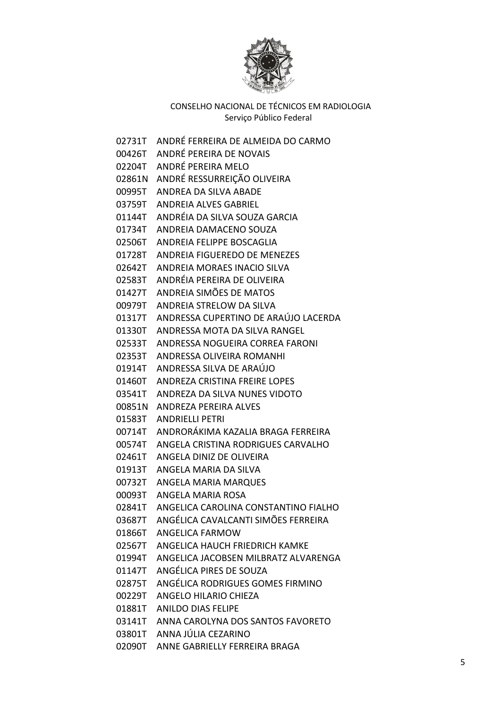

02731T ANDRÉ FERREIRA DE ALMEIDA DO CARMO 00426T ANDRÉ PEREIRA DE NOVAIS 02204T ANDRÉ PEREIRA MELO 02861N ANDRÉ RESSURREIÇÃO OLIVEIRA 00995T ANDREA DA SILVA ABADE 03759T ANDREIA ALVES GABRIEL 01144T ANDRÉIA DA SILVA SOUZA GARCIA 01734T ANDREIA DAMACENO SOUZA 02506T ANDREIA FELIPPE BOSCAGLIA 01728T ANDREIA FIGUEREDO DE MENEZES 02642T ANDREIA MORAES INACIO SILVA 02583T ANDRÉIA PEREIRA DE OLIVEIRA 01427T ANDREIA SIMÕES DE MATOS 00979T ANDREIA STRELOW DA SILVA 01317T ANDRESSA CUPERTINO DE ARAÚJO LACERDA 01330T ANDRESSA MOTA DA SILVA RANGEL 02533T ANDRESSA NOGUEIRA CORREA FARONI 02353T ANDRESSA OLIVEIRA ROMANHI 01914T ANDRESSA SILVA DE ARAÚJO 01460T ANDREZA CRISTINA FREIRE LOPES 03541T ANDREZA DA SILVA NUNES VIDOTO 00851N ANDREZA PEREIRA ALVES 01583T ANDRIELLI PETRI 00714T ANDRORÁKIMA KAZALIA BRAGA FERREIRA 00574T ANGELA CRISTINA RODRIGUES CARVALHO 02461T ANGELA DINIZ DE OLIVEIRA 01913T ANGELA MARIA DA SILVA 00732T ANGELA MARIA MARQUES 00093T ANGELA MARIA ROSA 02841T ANGELICA CAROLINA CONSTANTINO FIALHO 03687T ANGÉLICA CAVALCANTI SIMÕES FERREIRA 01866T ANGELICA FARMOW 02567T ANGELICA HAUCH FRIEDRICH KAMKE 01994T ANGELICA JACOBSEN MILBRATZ ALVARENGA 01147T ANGÉLICA PIRES DE SOUZA 02875T ANGÉLICA RODRIGUES GOMES FIRMINO 00229T ANGELO HILARIO CHIEZA 01881T ANILDO DIAS FELIPE 03141T ANNA CAROLYNA DOS SANTOS FAVORETO 03801T ANNA JÚLIA CEZARINO 02090T ANNE GABRIELLY FERREIRA BRAGA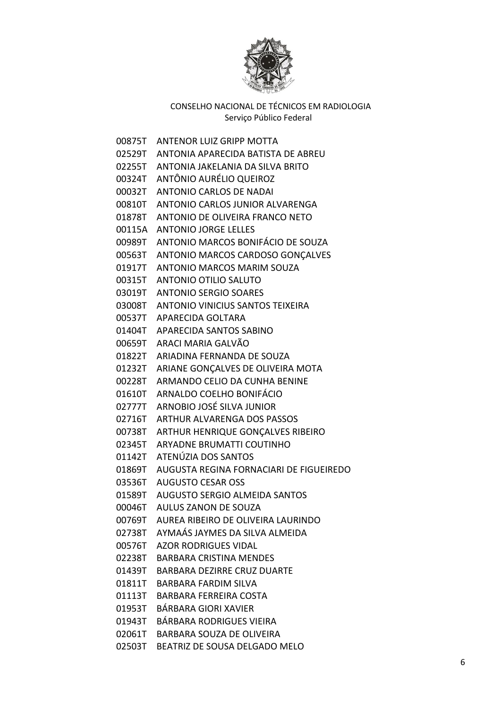

00875T ANTENOR LUIZ GRIPP MOTTA 02529T ANTONIA APARECIDA BATISTA DE ABREU 02255T ANTONIA JAKELANIA DA SILVA BRITO 00324T ANTÔNIO AURÉLIO QUEIROZ 00032T ANTONIO CARLOS DE NADAI 00810T ANTONIO CARLOS JUNIOR ALVARENGA 01878T ANTONIO DE OLIVEIRA FRANCO NETO 00115A ANTONIO JORGE LELLES 00989T ANTONIO MARCOS BONIFÁCIO DE SOUZA 00563T ANTONIO MARCOS CARDOSO GONÇALVES 01917T ANTONIO MARCOS MARIM SOUZA 00315T ANTONIO OTILIO SALUTO 03019T ANTONIO SERGIO SOARES 03008T ANTONIO VINICIUS SANTOS TEIXEIRA 00537T APARECIDA GOLTARA 01404T APARECIDA SANTOS SABINO 00659T ARACI MARIA GALVÃO 01822T ARIADINA FERNANDA DE SOUZA 01232T ARIANE GONÇALVES DE OLIVEIRA MOTA 00228T ARMANDO CELIO DA CUNHA BENINE 01610T ARNALDO COELHO BONIFÁCIO 02777T ARNOBIO JOSÉ SILVA JUNIOR 02716T ARTHUR ALVARENGA DOS PASSOS 00738T ARTHUR HENRIQUE GONÇALVES RIBEIRO 02345T ARYADNE BRUMATTI COUTINHO 01142T ATENÚZIA DOS SANTOS 01869T AUGUSTA REGINA FORNACIARI DE FIGUEIREDO 03536T AUGUSTO CESAR OSS 01589T AUGUSTO SERGIO ALMEIDA SANTOS 00046T AULUS ZANON DE SOUZA 00769T AUREA RIBEIRO DE OLIVEIRA LAURINDO 02738T AYMAÁS JAYMES DA SILVA ALMEIDA 00576T AZOR RODRIGUES VIDAL 02238T BARBARA CRISTINA MENDES 01439T BARBARA DEZIRRE CRUZ DUARTE 01811T BARBARA FARDIM SILVA 01113T BARBARA FERREIRA COSTA 01953T BÁRBARA GIORI XAVIER 01943T BÁRBARA RODRIGUES VIEIRA 02061T BARBARA SOUZA DE OLIVEIRA 02503T BEATRIZ DE SOUSA DELGADO MELO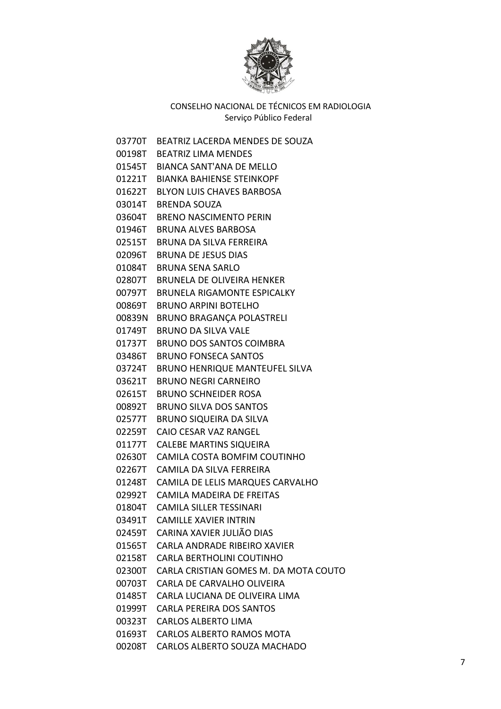

| 03770T | BEATRIZ LACERDA MENDES DE SOUZA       |
|--------|---------------------------------------|
| 00198T | <b>BEATRIZ LIMA MENDES</b>            |
|        | 01545T BIANCA SANT'ANA DE MELLO       |
| 01221T | <b>BIANKA BAHIENSE STEINKOPF</b>      |
| 01622T | <b>BLYON LUIS CHAVES BARBOSA</b>      |
| 03014T | <b>BRENDA SOUZA</b>                   |
| 03604T | <b>BRENO NASCIMENTO PERIN</b>         |
| 01946T | <b>BRUNA ALVES BARBOSA</b>            |
| 02515T | BRUNA DA SILVA FERREIRA               |
| 02096T | <b>BRUNA DE JESUS DIAS</b>            |
| 01084T | <b>BRUNA SENA SARLO</b>               |
| 02807T | <b>BRUNELA DE OLIVEIRA HENKER</b>     |
| 00797T | <b>BRUNELA RIGAMONTE ESPICALKY</b>    |
| 00869T | <b>BRUNO ARPINI BOTELHO</b>           |
| 00839N | <b>BRUNO BRAGANÇA POLASTRELI</b>      |
| 01749T | <b>BRUNO DA SILVA VALE</b>            |
| 01737T | <b>BRUNO DOS SANTOS COIMBRA</b>       |
| 03486T | <b>BRUNO FONSECA SANTOS</b>           |
| 03724T | <b>BRUNO HENRIQUE MANTEUFEL SILVA</b> |
| 03621T | <b>BRUNO NEGRI CARNEIRO</b>           |
| 02615T | <b>BRUNO SCHNEIDER ROSA</b>           |
| 00892T | <b>BRUNO SILVA DOS SANTOS</b>         |
| 02577T | <b>BRUNO SIQUEIRA DA SILVA</b>        |
| 02259T | CAIO CESAR VAZ RANGEL                 |
| 01177T | <b>CALEBE MARTINS SIQUEIRA</b>        |
| 02630T | CAMILA COSTA BOMFIM COUTINHO          |
| 02267T | CAMILA DA SILVA FERREIRA              |
| 01248T | CAMILA DE LELIS MARQUES CARVALHO      |
| 02992T | <b>CAMILA MADEIRA DE FREITAS</b>      |
| 01804T | <b>CAMILA SILLER TESSINARI</b>        |
| 03491T | <b>CAMILLE XAVIER INTRIN</b>          |
| 02459T | CARINA XAVIER JULIÃO DIAS             |
| 01565T | CARLA ANDRADE RIBEIRO XAVIER          |
| 02158T | <b>CARLA BERTHOLINI COUTINHO</b>      |
| 02300T | CARLA CRISTIAN GOMES M. DA MOTA COUTO |
| 00703T | CARLA DE CARVALHO OLIVEIRA            |
| 01485T | CARLA LUCIANA DE OLIVEIRA LIMA        |
| 01999T | CARLA PEREIRA DOS SANTOS              |
| 00323T | <b>CARLOS ALBERTO LIMA</b>            |
| 01693T | <b>CARLOS ALBERTO RAMOS MOTA</b>      |
| 00208T | CARLOS ALBERTO SOUZA MACHADO          |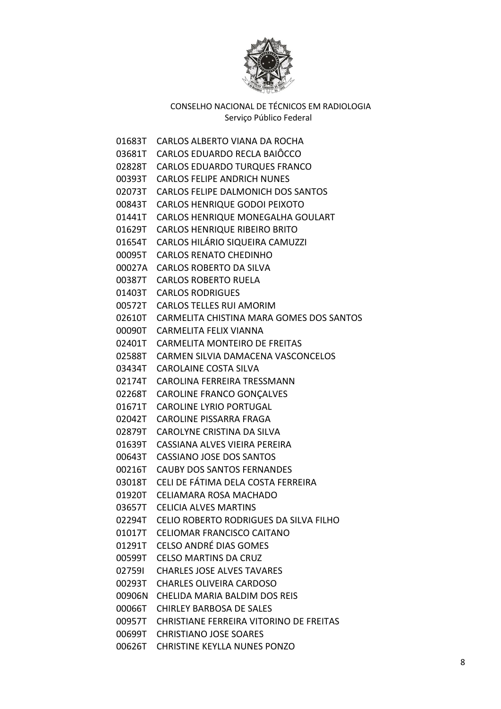

01683T CARLOS ALBERTO VIANA DA ROCHA 03681T CARLOS EDUARDO RECLA BAIÔCCO 02828T CARLOS EDUARDO TURQUES FRANCO 00393T CARLOS FELIPE ANDRICH NUNES 02073T CARLOS FELIPE DALMONICH DOS SANTOS 00843T CARLOS HENRIQUE GODOI PEIXOTO 01441T CARLOS HENRIQUE MONEGALHA GOULART 01629T CARLOS HENRIQUE RIBEIRO BRITO 01654T CARLOS HILÁRIO SIQUEIRA CAMUZZI 00095T CARLOS RENATO CHEDINHO 00027A CARLOS ROBERTO DA SILVA 00387T CARLOS ROBERTO RUELA 01403T CARLOS RODRIGUES 00572T CARLOS TELLES RUI AMORIM 02610T CARMELITA CHISTINA MARA GOMES DOS SANTOS 00090T CARMELITA FELIX VIANNA 02401T CARMELITA MONTEIRO DE FREITAS 02588T CARMEN SILVIA DAMACENA VASCONCELOS 03434T CAROLAINE COSTA SILVA 02174T CAROLINA FERREIRA TRESSMANN 02268T CAROLINE FRANCO GONÇALVES 01671T CAROLINE LYRIO PORTUGAL 02042T CAROLINE PISSARRA FRAGA 02879T CAROLYNE CRISTINA DA SILVA 01639T CASSIANA ALVES VIEIRA PEREIRA 00643T CASSIANO JOSE DOS SANTOS 00216T CAUBY DOS SANTOS FERNANDES 03018T CELI DE FÁTIMA DELA COSTA FERREIRA 01920T CELIAMARA ROSA MACHADO 03657T CELICIA ALVES MARTINS 02294T CELIO ROBERTO RODRIGUES DA SILVA FILHO 01017T CELIOMAR FRANCISCO CAITANO 01291T CELSO ANDRÉ DIAS GOMES 00599T CELSO MARTINS DA CRUZ 02759I CHARLES JOSE ALVES TAVARES 00293T CHARLES OLIVEIRA CARDOSO 00906N CHELIDA MARIA BALDIM DOS REIS 00066T CHIRLEY BARBOSA DE SALES 00957T CHRISTIANE FERREIRA VITORINO DE FREITAS 00699T CHRISTIANO JOSE SOARES 00626T CHRISTINE KEYLLA NUNES PONZO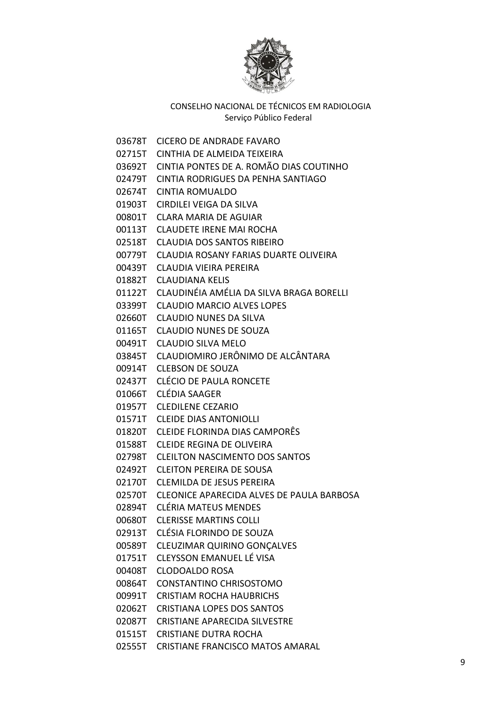

03678T CICERO DE ANDRADE FAVARO

- 02715T CINTHIA DE ALMEIDA TEIXEIRA
- 03692T CINTIA PONTES DE A. ROMÃO DIAS COUTINHO
- 02479T CINTIA RODRIGUES DA PENHA SANTIAGO
- 02674T CINTIA ROMUALDO
- 01903T CIRDILEI VEIGA DA SILVA
- 00801T CLARA MARIA DE AGUIAR
- 00113T CLAUDETE IRENE MAI ROCHA
- 02518T CLAUDIA DOS SANTOS RIBEIRO
- 00779T CLAUDIA ROSANY FARIAS DUARTE OLIVEIRA
- 00439T CLAUDIA VIEIRA PEREIRA
- 01882T CLAUDIANA KELIS
- 01122T CLAUDINÉIA AMÉLIA DA SILVA BRAGA BORELLI
- 03399T CLAUDIO MARCIO ALVES LOPES
- 02660T CLAUDIO NUNES DA SILVA
- 01165T CLAUDIO NUNES DE SOUZA
- 00491T CLAUDIO SILVA MELO
- 03845T CLAUDIOMIRO JERÔNIMO DE ALCÂNTARA
- 00914T CLEBSON DE SOUZA
- 02437T CLÉCIO DE PAULA RONCETE
- 01066T CLÉDIA SAAGER
- 01957T CLEDILENE CEZARIO
- 01571T CLEIDE DIAS ANTONIOLLI
- 01820T CLEIDE FLORINDA DIAS CAMPORÊS
- 01588T CLEIDE REGINA DE OLIVEIRA
- 02798T CLEILTON NASCIMENTO DOS SANTOS
- 02492T CLEITON PEREIRA DE SOUSA
- 02170T CLEMILDA DE JESUS PEREIRA
- 02570T CLEONICE APARECIDA ALVES DE PAULA BARBOSA
- 02894T CLÉRIA MATEUS MENDES
- 00680T CLERISSE MARTINS COLLI
- 02913T CLÉSIA FLORINDO DE SOUZA
- 00589T CLEUZIMAR QUIRINO GONÇALVES
- 01751T CLEYSSON EMANUEL LÉ VISA
- 00408T CLODOALDO ROSA
- 00864T CONSTANTINO CHRISOSTOMO
- 00991T CRISTIAM ROCHA HAUBRICHS
- 02062T CRISTIANA LOPES DOS SANTOS
- 02087T CRISTIANE APARECIDA SILVESTRE
- 01515T CRISTIANE DUTRA ROCHA
- 02555T CRISTIANE FRANCISCO MATOS AMARAL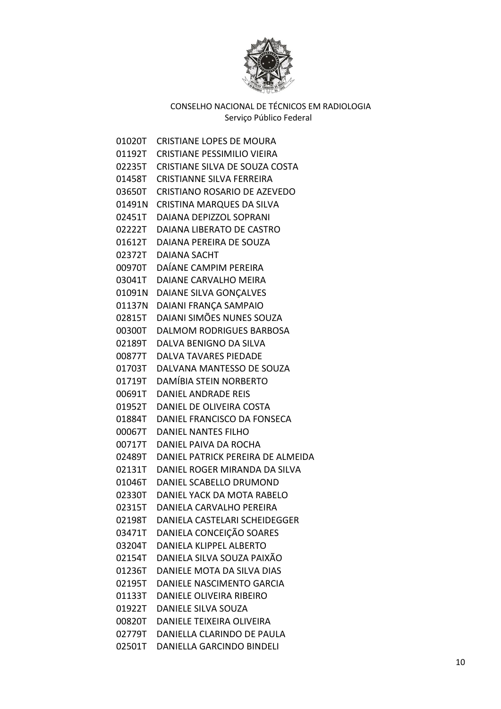

01020T CRISTIANE LOPES DE MOURA 01192T CRISTIANE PESSIMILIO VIEIRA 02235T CRISTIANE SILVA DE SOUZA COSTA 01458T CRISTIANNE SILVA FERREIRA 03650T CRISTIANO ROSARIO DE AZEVEDO 01491N CRISTINA MARQUES DA SILVA 02451T DAIANA DEPIZZOL SOPRANI 02222T DAIANA LIBERATO DE CASTRO 01612T DAIANA PEREIRA DE SOUZA 02372T DAIANA SACHT 00970T DAÍANE CAMPIM PEREIRA 03041T DAIANE CARVALHO MEIRA 01091N DAIANE SILVA GONÇALVES 01137N DAIANI FRANÇA SAMPAIO 02815T DAIANI SIMÕES NUNES SOUZA 00300T DALMOM RODRIGUES BARBOSA 02189T DALVA BENIGNO DA SILVA 00877T DALVA TAVARES PIEDADE 01703T DALVANA MANTESSO DE SOUZA 01719T DAMÍBIA STEIN NORBERTO 00691T DANIEL ANDRADE REIS 01952T DANIEL DE OLIVEIRA COSTA 01884T DANIEL FRANCISCO DA FONSECA 00067T DANIEL NANTES FILHO 00717T DANIEL PAIVA DA ROCHA 02489T DANIEL PATRICK PEREIRA DE ALMEIDA 02131T DANIEL ROGER MIRANDA DA SILVA 01046T DANIEL SCABELLO DRUMOND 02330T DANIEL YACK DA MOTA RABELO 02315T DANIELA CARVALHO PEREIRA 02198T DANIELA CASTELARI SCHEIDEGGER 03471T DANIELA CONCEIÇÃO SOARES 03204T DANIELA KLIPPEL ALBERTO 02154T DANIELA SILVA SOUZA PAIXÃO 01236T DANIELE MOTA DA SILVA DIAS 02195T DANIELE NASCIMENTO GARCIA 01133T DANIELE OLIVEIRA RIBEIRO 01922T DANIELE SILVA SOUZA 00820T DANIELE TEIXEIRA OLIVEIRA 02779T DANIELLA CLARINDO DE PAULA 02501T DANIELLA GARCINDO BINDELI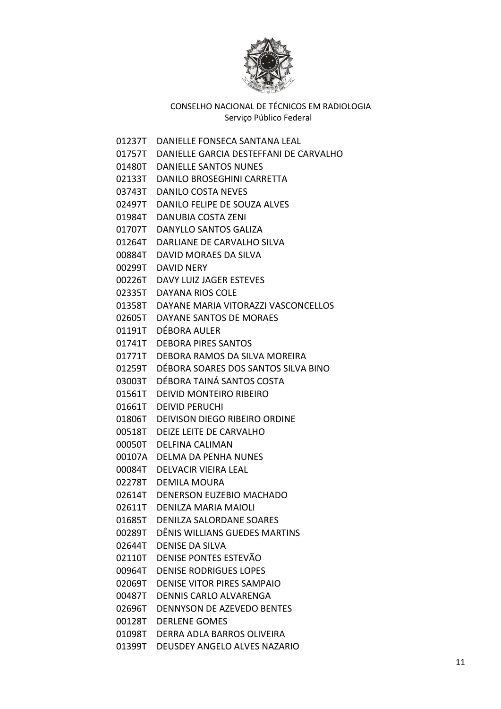

01237T DANIELLE FONSECA SANTANA LEAL

- 01757T DANIELLE GARCIA DESTEFFANI DE CARVALHO
- 01480T DANIELLE SANTOS NUNES
- 02133T DANILO BROSEGHINI CARRETTA
- 03743T DANILO COSTA NEVES
- 02497T DANILO FELIPE DE SOUZA ALVES
- 01984T DANUBIA COSTA ZENI
- 01707T DANYLLO SANTOS GALIZA
- 01264T DARLIANE DE CARVALHO SILVA
- 00884T DAVID MORAES DA SILVA
- 00299T DAVID NERY
- 00226T DAVY LUIZ JAGER ESTEVES
- 02335T DAYANA RIOS COLE
- 01358T DAYANE MARIA VITORAZZI VASCONCELLOS
- 02605T DAYANE SANTOS DE MORAES
- 01191T DÉBORA AULER
- 01741T DEBORA PIRES SANTOS
- 01771T DEBORA RAMOS DA SILVA MOREIRA
- 01259T DÉBORA SOARES DOS SANTOS SILVA BINO
- 03003T DÉBORA TAINÁ SANTOS COSTA
- 01561T DEIVID MONTEIRO RIBEIRO
- 01661T DEIVID PERUCHI
- 01806T DEIVISON DIEGO RIBEIRO ORDINE
- 00518T DEIZE LEITE DE CARVALHO
- 00050T DELFINA CALIMAN
- 00107A DELMA DA PENHA NUNES
- 00084T DELVACIR VIEIRA LEAL
- 02278T DEMILA MOURA
- 02614T DENERSON EUZEBIO MACHADO
- 02611T DENILZA MARIA MAIOLI
- 01685T DENILZA SALORDANE SOARES
- 00289T DÊNIS WILLIANS GUEDES MARTINS
- 02644T DENISE DA SILVA
- 02110T DENISE PONTES ESTEVÃO
- 00964T DENISE RODRIGUES LOPES
- 02069T DENISE VITOR PIRES SAMPAIO
- 00487T DENNIS CARLO ALVARENGA
- 02696T DENNYSON DE AZEVEDO BENTES
- 00128T DERLENE GOMES
- 01098T DERRA ADLA BARROS OLIVEIRA
- 01399T DEUSDEY ANGELO ALVES NAZARIO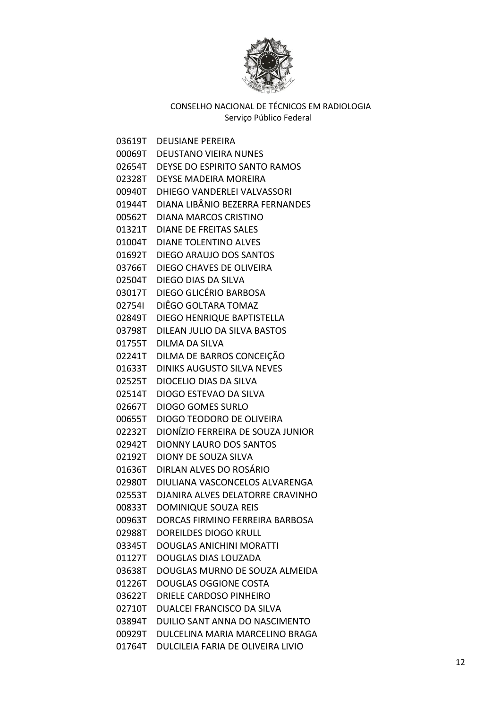

03619T DEUSIANE PEREIRA 00069T DEUSTANO VIEIRA NUNES 02654T DEYSE DO ESPIRITO SANTO RAMOS 02328T DEYSE MADEIRA MOREIRA 00940T DHIEGO VANDERLEI VALVASSORI 01944T DIANA LIBÂNIO BEZERRA FERNANDES 00562T DIANA MARCOS CRISTINO 01321T DIANE DE FREITAS SALES 01004T DIANE TOLENTINO ALVES 01692T DIEGO ARAUJO DOS SANTOS 03766T DIEGO CHAVES DE OLIVEIRA 02504T DIEGO DIAS DA SILVA 03017T DIEGO GLICÉRIO BARBOSA 02754I DIÊGO GOLTARA TOMAZ 02849T DIEGO HENRIQUE BAPTISTELLA 03798T DILEAN JULIO DA SILVA BASTOS 01755T DILMA DA SILVA 02241T DILMA DE BARROS CONCEIÇÃO 01633T DINIKS AUGUSTO SILVA NEVES 02525T DIOCELIO DIAS DA SILVA 02514T DIOGO ESTEVAO DA SILVA 02667T DIOGO GOMES SURLO 00655T DIOGO TEODORO DE OLIVEIRA 02232T DIONÍZIO FERREIRA DE SOUZA JUNIOR 02942T DIONNY LAURO DOS SANTOS 02192T DIONY DE SOUZA SILVA 01636T DIRLAN ALVES DO ROSÁRIO 02980T DIULIANA VASCONCELOS ALVARENGA 02553T DJANIRA ALVES DELATORRE CRAVINHO 00833T DOMINIQUE SOUZA REIS 00963T DORCAS FIRMINO FERREIRA BARBOSA 02988T DOREILDES DIOGO KRULL 03345T DOUGLAS ANICHINI MORATTI 01127T DOUGLAS DIAS LOUZADA 03638T DOUGLAS MURNO DE SOUZA ALMEIDA 01226T DOUGLAS OGGIONE COSTA 03622T DRIELE CARDOSO PINHEIRO 02710T DUALCEI FRANCISCO DA SILVA 03894T DUILIO SANT ANNA DO NASCIMENTO 00929T DULCELINA MARIA MARCELINO BRAGA 01764T DULCILEIA FARIA DE OLIVEIRA LIVIO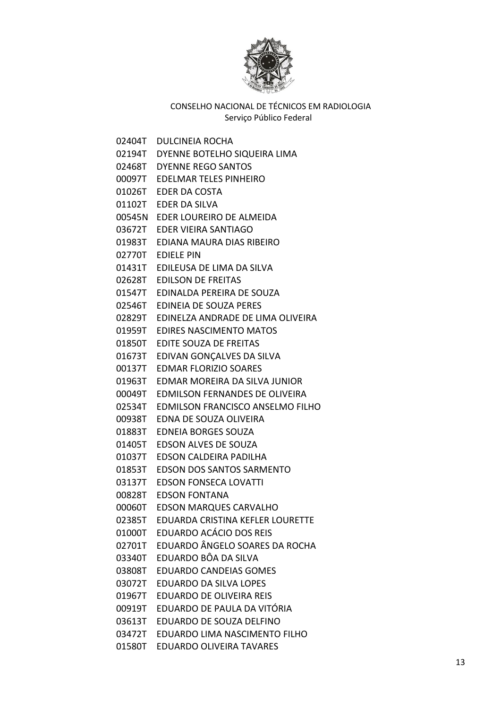

02404T DULCINEIA ROCHA 02194T DYENNE BOTELHO SIQUEIRA LIMA 02468T DYENNE REGO SANTOS 00097T EDELMAR TELES PINHEIRO 01026T EDER DA COSTA 01102T EDER DA SILVA 00545N EDER LOUREIRO DE ALMEIDA 03672T EDER VIEIRA SANTIAGO 01983T EDIANA MAURA DIAS RIBEIRO 02770T EDIELE PIN 01431T EDILEUSA DE LIMA DA SILVA 02628T EDILSON DE FREITAS 01547T EDINALDA PEREIRA DE SOUZA 02546T EDINEIA DE SOUZA PERES 02829T EDINELZA ANDRADE DE LIMA OLIVEIRA 01959T EDIRES NASCIMENTO MATOS 01850T EDITE SOUZA DE FREITAS 01673T EDIVAN GONÇALVES DA SILVA 00137T EDMAR FLORIZIO SOARES 01963T EDMAR MOREIRA DA SILVA JUNIOR 00049T EDMILSON FERNANDES DE OLIVEIRA 02534T EDMILSON FRANCISCO ANSELMO FILHO 00938T EDNA DE SOUZA OLIVEIRA 01883T EDNEIA BORGES SOUZA 01405T EDSON ALVES DE SOUZA 01037T EDSON CALDEIRA PADILHA 01853T EDSON DOS SANTOS SARMENTO 03137T EDSON FONSECA LOVATTI 00828T EDSON FONTANA 00060T EDSON MARQUES CARVALHO 02385T EDUARDA CRISTINA KEFLER LOURETTE 01000T EDUARDO ACÁCIO DOS REIS 02701T EDUARDO ÂNGELO SOARES DA ROCHA 03340T EDUARDO BÔA DA SILVA 03808T EDUARDO CANDEIAS GOMES 03072T EDUARDO DA SILVA LOPES 01967T EDUARDO DE OLIVEIRA REIS 00919T EDUARDO DE PAULA DA VITÓRIA 03613T EDUARDO DE SOUZA DELFINO 03472T EDUARDO LIMA NASCIMENTO FILHO 01580T EDUARDO OLIVEIRA TAVARES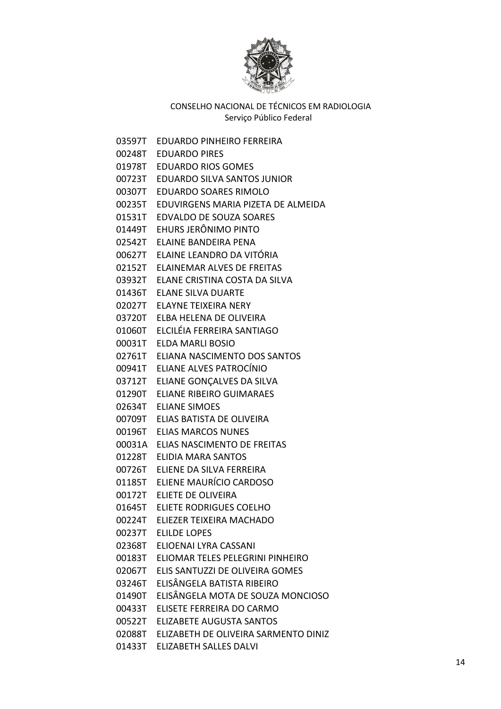

03597T EDUARDO PINHEIRO FERREIRA 00248T EDUARDO PIRES 01978T EDUARDO RIOS GOMES 00723T EDUARDO SILVA SANTOS JUNIOR 00307T EDUARDO SOARES RIMOLO 00235T EDUVIRGENS MARIA PIZETA DE ALMEIDA 01531T EDVALDO DE SOUZA SOARES 01449T EHURS JERÔNIMO PINTO 02542T ELAINE BANDEIRA PENA 00627T ELAINE LEANDRO DA VITÓRIA 02152T ELAINEMAR ALVES DE FREITAS 03932T ELANE CRISTINA COSTA DA SILVA 01436T ELANE SILVA DUARTE 02027T ELAYNE TEIXEIRA NERY 03720T ELBA HELENA DE OLIVEIRA 01060T ELCILÉIA FERREIRA SANTIAGO 00031T ELDA MARLI BOSIO 02761T ELIANA NASCIMENTO DOS SANTOS 00941T ELIANE ALVES PATROCÍNIO 03712T ELIANE GONÇALVES DA SILVA 01290T ELIANE RIBEIRO GUIMARAES 02634T ELIANE SIMOES 00709T ELIAS BATISTA DE OLIVEIRA 00196T ELIAS MARCOS NUNES 00031A ELIAS NASCIMENTO DE FREITAS 01228T ELIDIA MARA SANTOS 00726T ELIENE DA SILVA FERREIRA 01185T ELIENE MAURÍCIO CARDOSO 00172T ELIETE DE OLIVEIRA 01645T ELIETE RODRIGUES COELHO 00224T ELIEZER TEIXEIRA MACHADO 00237T ELILDE LOPES 02368T ELIOENAI LYRA CASSANI 00183T ELIOMAR TELES PELEGRINI PINHEIRO 02067T ELIS SANTUZZI DE OLIVEIRA GOMES 03246T ELISÂNGELA BATISTA RIBEIRO 01490T ELISÂNGELA MOTA DE SOUZA MONCIOSO 00433T ELISETE FERREIRA DO CARMO 00522T ELIZABETE AUGUSTA SANTOS 02088T ELIZABETH DE OLIVEIRA SARMENTO DINIZ 01433T ELIZABETH SALLES DALVI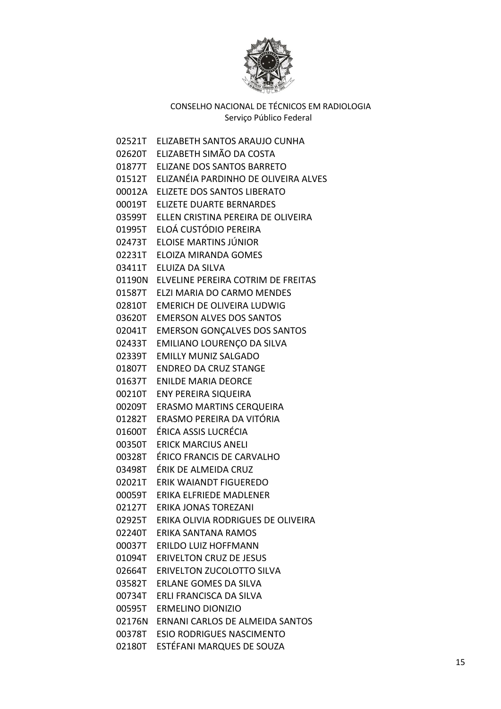

02521T ELIZABETH SANTOS ARAUJO CUNHA 02620T ELIZABETH SIMÃO DA COSTA 01877T ELIZANE DOS SANTOS BARRETO 01512T ELIZANÉIA PARDINHO DE OLIVEIRA ALVES 00012A ELIZETE DOS SANTOS LIBERATO 00019T ELIZETE DUARTE BERNARDES 03599T ELLEN CRISTINA PEREIRA DE OLIVEIRA 01995T ELOÁ CUSTÓDIO PEREIRA 02473T ELOISE MARTINS JÚNIOR 02231T ELOIZA MIRANDA GOMES 03411T ELUIZA DA SILVA 01190N ELVELINE PEREIRA COTRIM DE FREITAS 01587T ELZI MARIA DO CARMO MENDES 02810T EMERICH DE OLIVEIRA LUDWIG 03620T EMERSON ALVES DOS SANTOS 02041T EMERSON GONÇALVES DOS SANTOS 02433T EMILIANO LOURENÇO DA SILVA 02339T EMILLY MUNIZ SALGADO 01807T ENDREO DA CRUZ STANGE 01637T ENILDE MARIA DEORCE 00210T ENY PEREIRA SIQUEIRA 00209T ERASMO MARTINS CERQUEIRA 01282T ERASMO PEREIRA DA VITÓRIA 01600T ÉRICA ASSIS LUCRÉCIA 00350T ERICK MARCIUS ANELI 00328T ÉRICO FRANCIS DE CARVALHO 03498T ÉRIK DE ALMEIDA CRUZ 02021T ERIK WAIANDT FIGUEREDO 00059T ERIKA ELFRIEDE MADLENER 02127T ERIKA JONAS TOREZANI 02925T ERIKA OLIVIA RODRIGUES DE OLIVEIRA 02240T ERIKA SANTANA RAMOS 00037T ERILDO LUIZ HOFFMANN 01094T ERIVELTON CRUZ DE JESUS 02664T ERIVELTON ZUCOLOTTO SILVA 03582T ERLANE GOMES DA SILVA 00734T ERLI FRANCISCA DA SILVA 00595T ERMELINO DIONIZIO 02176N ERNANI CARLOS DE ALMEIDA SANTOS 00378T ESIO RODRIGUES NASCIMENTO 02180T ESTÉFANI MARQUES DE SOUZA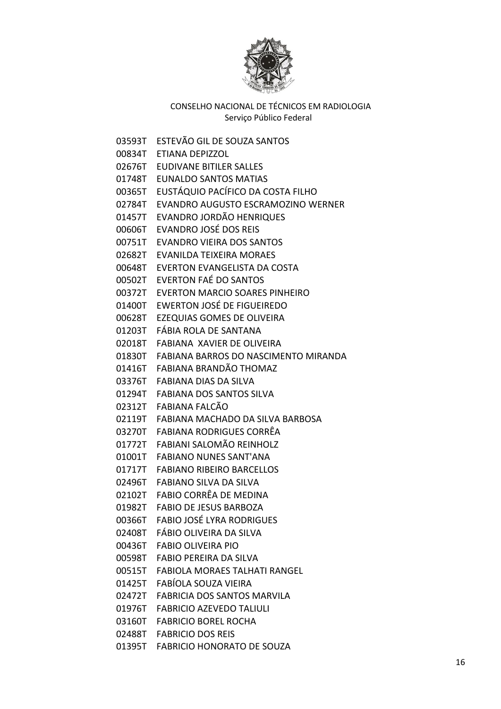

03593T ESTEVÃO GIL DE SOUZA SANTOS 00834T ETIANA DEPIZZOL 02676T EUDIVANE BITILER SALLES 01748T EUNALDO SANTOS MATIAS 00365T EUSTÁQUIO PACÍFICO DA COSTA FILHO 02784T EVANDRO AUGUSTO ESCRAMOZINO WERNER 01457T EVANDRO JORDÃO HENRIQUES 00606T EVANDRO JOSÉ DOS REIS 00751T EVANDRO VIEIRA DOS SANTOS 02682T EVANILDA TEIXEIRA MORAES 00648T EVERTON EVANGELISTA DA COSTA 00502T EVERTON FAÉ DO SANTOS 00372T EVERTON MARCIO SOARES PINHEIRO 01400T EWERTON JOSÉ DE FIGUEIREDO 00628T EZEQUIAS GOMES DE OLIVEIRA 01203T FÁBIA ROLA DE SANTANA 02018T FABIANA XAVIER DE OLIVEIRA 01830T FABIANA BARROS DO NASCIMENTO MIRANDA 01416T FABIANA BRANDÃO THOMAZ 03376T FABIANA DIAS DA SILVA 01294T FABIANA DOS SANTOS SILVA 02312T FABIANA FALCÃO 02119T FABIANA MACHADO DA SILVA BARBOSA 03270T FABIANA RODRIGUES CORRÊA 01772T FABIANI SALOMÃO REINHOLZ 01001T FABIANO NUNES SANT'ANA 01717T FABIANO RIBEIRO BARCELLOS 02496T FABIANO SILVA DA SILVA 02102T FABIO CORRÊA DE MEDINA 01982T FABIO DE JESUS BARBOZA 00366T FABIO JOSÉ LYRA RODRIGUES 02408T FÁBIO OLIVEIRA DA SILVA 00436T FABIO OLIVEIRA PIO 00598T FABIO PEREIRA DA SILVA 00515T FABIOLA MORAES TALHATI RANGEL 01425T FABÍOLA SOUZA VIEIRA 02472T FABRICIA DOS SANTOS MARVILA 01976T FABRICIO AZEVEDO TALIULI 03160T FABRICIO BOREL ROCHA 02488T FABRICIO DOS REIS 01395T FABRICIO HONORATO DE SOUZA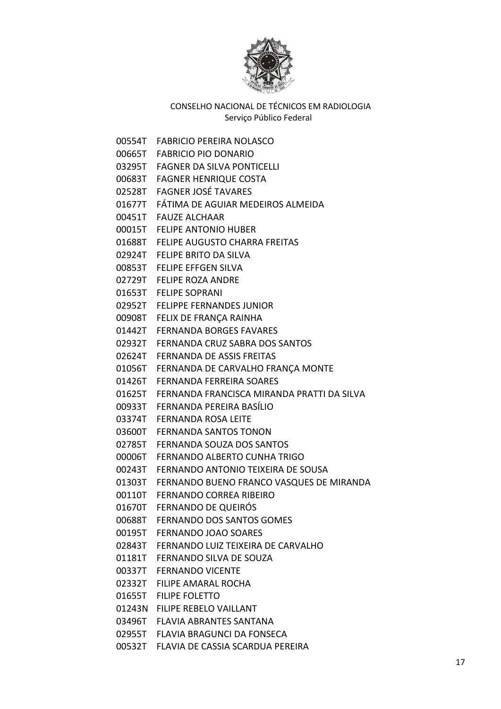

00554T FABRICIO PEREIRA NOLASCO

00665T FABRICIO PIO DONARIO

03295T FAGNER DA SILVA PONTICELLI

- 00683T FAGNER HENRIQUE COSTA
- 02528T FAGNER JOSÉ TAVARES
- 01677T FÁTIMA DE AGUIAR MEDEIROS ALMEIDA
- 00451T FAUZE ALCHAAR
- 00015T FELIPE ANTONIO HUBER
- 01688T FELIPE AUGUSTO CHARRA FREITAS
- 02924T FELIPE BRITO DA SILVA
- 00853T FELIPE EFFGEN SILVA
- 02729T FELIPE ROZA ANDRE
- 01653T FELIPE SOPRANI
- 02952T FELIPPE FERNANDES JUNIOR
- 00908T FELIX DE FRANÇA RAINHA
- 01442T FERNANDA BORGES FAVARES
- 02932T FERNANDA CRUZ SABRA DOS SANTOS
- 02624T FERNANDA DE ASSIS FREITAS
- 01056T FERNANDA DE CARVALHO FRANÇA MONTE
- 01426T FERNANDA FERREIRA SOARES
- 01625T FERNANDA FRANCISCA MIRANDA PRATTI DA SILVA
- 00933T FERNANDA PEREIRA BASÍLIO
- 03374T FERNANDA ROSA LEITE
- 03600T FERNANDA SANTOS TONON
- 02785T FERNANDA SOUZA DOS SANTOS
- 00006T FERNANDO ALBERTO CUNHA TRIGO
- 00243T FERNANDO ANTONIO TEIXEIRA DE SOUSA
- 01303T FERNANDO BUENO FRANCO VASQUES DE MIRANDA
- 00110T FERNANDO CORREA RIBEIRO
- 01670T FERNANDO DE QUEIRÓS
- 00688T FERNANDO DOS SANTOS GOMES
- 00195T FERNANDO JOAO SOARES
- 02843T FERNANDO LUIZ TEIXEIRA DE CARVALHO
- 01181T FERNANDO SILVA DE SOUZA
- 00337T FERNANDO VICENTE
- 02332T FILIPE AMARAL ROCHA
- 01655T FILIPE FOLETTO
- 01243N FILIPE REBELO VAILLANT
- 03496T FLAVIA ABRANTES SANTANA
- 02955T FLAVIA BRAGUNCI DA FONSECA
- 00532T FLAVIA DE CASSIA SCARDUA PEREIRA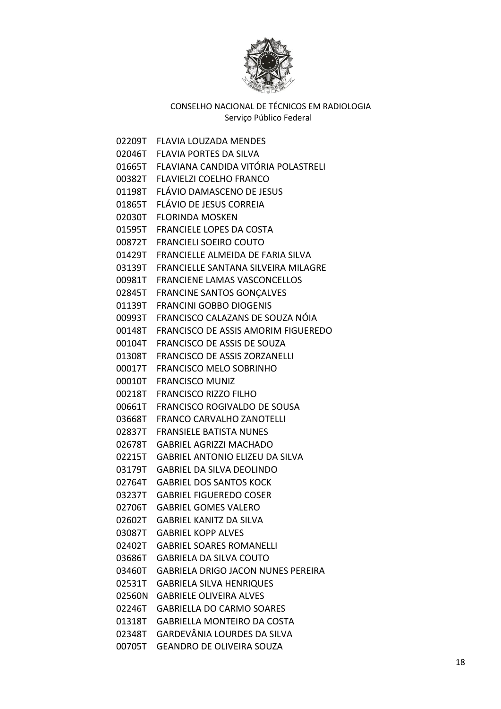

02209T FLAVIA LOUZADA MENDES 02046T FLAVIA PORTES DA SILVA 01665T FLAVIANA CANDIDA VITÓRIA POLASTRELI 00382T FLAVIELZI COELHO FRANCO 01198T FLÁVIO DAMASCENO DE JESUS 01865T FLÁVIO DE JESUS CORREIA 02030T FLORINDA MOSKEN 01595T FRANCIELE LOPES DA COSTA 00872T FRANCIELI SOEIRO COUTO 01429T FRANCIELLE ALMEIDA DE FARIA SILVA 03139T FRANCIELLE SANTANA SILVEIRA MILAGRE 00981T FRANCIENE LAMAS VASCONCELLOS 02845T FRANCINE SANTOS GONÇALVES 01139T FRANCINI GOBBO DIOGENIS 00993T FRANCISCO CALAZANS DE SOUZA NÓIA 00148T FRANCISCO DE ASSIS AMORIM FIGUEREDO 00104T FRANCISCO DE ASSIS DE SOUZA 01308T FRANCISCO DE ASSIS ZORZANELLI 00017T FRANCISCO MELO SOBRINHO 00010T FRANCISCO MUNIZ 00218T FRANCISCO RIZZO FILHO 00661T FRANCISCO ROGIVALDO DE SOUSA 03668T FRANCO CARVALHO ZANOTELLI 02837T FRANSIELE BATISTA NUNES 02678T GABRIEL AGRIZZI MACHADO 02215T GABRIEL ANTONIO ELIZEU DA SILVA 03179T GABRIEL DA SILVA DEOLINDO 02764T GABRIEL DOS SANTOS KOCK 03237T GABRIEL FIGUEREDO COSER 02706T GABRIEL GOMES VALERO 02602T GABRIEL KANITZ DA SILVA 03087T GABRIEL KOPP ALVES 02402T GABRIEL SOARES ROMANELLI 03686T GABRIELA DA SILVA COUTO 03460T GABRIELA DRIGO JACON NUNES PEREIRA 02531T GABRIELA SILVA HENRIQUES 02560N GABRIELE OLIVEIRA ALVES 02246T GABRIELLA DO CARMO SOARES 01318T GABRIELLA MONTEIRO DA COSTA 02348T GARDEVÂNIA LOURDES DA SILVA 00705T GEANDRO DE OLIVEIRA SOUZA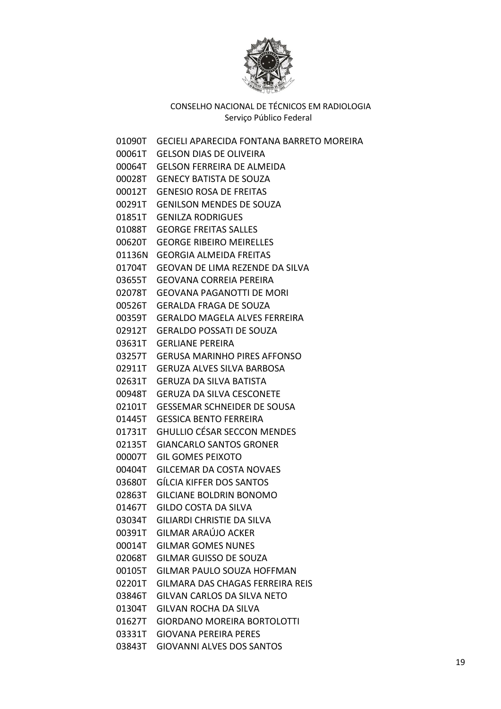

01090T GECIELI APARECIDA FONTANA BARRETO MOREIRA 00061T GELSON DIAS DE OLIVEIRA 00064T GELSON FERREIRA DE ALMEIDA 00028T GENECY BATISTA DE SOUZA 00012T GENESIO ROSA DE FREITAS 00291T GENILSON MENDES DE SOUZA 01851T GENILZA RODRIGUES 01088T GEORGE FREITAS SALLES 00620T GEORGE RIBEIRO MEIRELLES 01136N GEORGIA ALMEIDA FREITAS 01704T GEOVAN DE LIMA REZENDE DA SILVA 03655T GEOVANA CORREIA PEREIRA 02078T GEOVANA PAGANOTTI DE MORI 00526T GERALDA FRAGA DE SOUZA 00359T GERALDO MAGELA ALVES FERREIRA 02912T GERALDO POSSATI DE SOUZA 03631T GERLIANE PEREIRA 03257T GERUSA MARINHO PIRES AFFONSO 02911T GERUZA ALVES SILVA BARBOSA 02631T GERUZA DA SILVA BATISTA 00948T GERUZA DA SILVA CESCONETE 02101T GESSEMAR SCHNEIDER DE SOUSA 01445T GESSICA BENTO FERREIRA 01731T GHULLIO CÉSAR SECCON MENDES 02135T GIANCARLO SANTOS GRONER 00007T GIL GOMES PEIXOTO 00404T GILCEMAR DA COSTA NOVAES 03680T GÍLCIA KIFFER DOS SANTOS 02863T GILCIANE BOLDRIN BONOMO 01467T GILDO COSTA DA SILVA 03034T GILIARDI CHRISTIE DA SILVA 00391T GILMAR ARAÚJO ACKER 00014T GILMAR GOMES NUNES 02068T GILMAR GUISSO DE SOUZA 00105T GILMAR PAULO SOUZA HOFFMAN 02201T GILMARA DAS CHAGAS FERREIRA REIS 03846T GILVAN CARLOS DA SILVA NETO 01304T GILVAN ROCHA DA SILVA 01627T GIORDANO MOREIRA BORTOLOTTI 03331T GIOVANA PEREIRA PERES 03843T GIOVANNI ALVES DOS SANTOS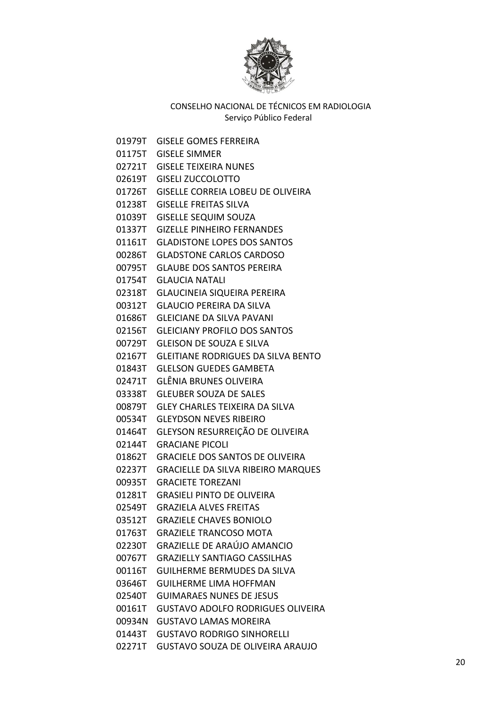

01979T GISELE GOMES FERREIRA 01175T GISELE SIMMER 02721T GISELE TEIXEIRA NUNES 02619T GISELI ZUCCOLOTTO 01726T GISELLE CORREIA LOBEU DE OLIVEIRA 01238T GISELLE FREITAS SILVA 01039T GISELLE SEQUIM SOUZA 01337T GIZELLE PINHEIRO FERNANDES 01161T GLADISTONE LOPES DOS SANTOS 00286T GLADSTONE CARLOS CARDOSO 00795T GLAUBE DOS SANTOS PEREIRA 01754T GLAUCIA NATALI 02318T GLAUCINEIA SIQUEIRA PEREIRA 00312T GLAUCIO PEREIRA DA SILVA 01686T GLEICIANE DA SILVA PAVANI 02156T GLEICIANY PROFILO DOS SANTOS 00729T GLEISON DE SOUZA E SILVA 02167T GLEITIANE RODRIGUES DA SILVA BENTO 01843T GLELSON GUEDES GAMBETA 02471T GLÊNIA BRUNES OLIVEIRA 03338T GLEUBER SOUZA DE SALES 00879T GLEY CHARLES TEIXEIRA DA SILVA 00534T GLEYDSON NEVES RIBEIRO 01464T GLEYSON RESURREIÇÃO DE OLIVEIRA 02144T GRACIANE PICOLI 01862T GRACIELE DOS SANTOS DE OLIVEIRA 02237T GRACIELLE DA SILVA RIBEIRO MARQUES 00935T GRACIETE TOREZANI 01281T GRASIELI PINTO DE OLIVEIRA 02549T GRAZIELA ALVES FREITAS 03512T GRAZIELE CHAVES BONIOLO 01763T GRAZIELE TRANCOSO MOTA 02230T GRAZIELLE DE ARAÚJO AMANCIO 00767T GRAZIELLY SANTIAGO CASSILHAS 00116T GUILHERME BERMUDES DA SILVA 03646T GUILHERME LIMA HOFFMAN 02540T GUIMARAES NUNES DE JESUS 00161T GUSTAVO ADOLFO RODRIGUES OLIVEIRA 00934N GUSTAVO LAMAS MOREIRA 01443T GUSTAVO RODRIGO SINHORELLI 02271T GUSTAVO SOUZA DE OLIVEIRA ARAUJO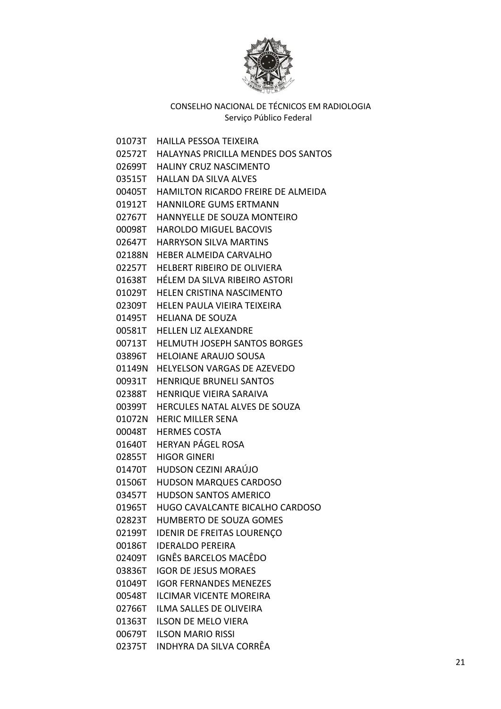

01073T HAILLA PESSOA TEIXEIRA 02572T HALAYNAS PRICILLA MENDES DOS SANTOS 02699T HALINY CRUZ NASCIMENTO 03515T HALLAN DA SILVA ALVES 00405T HAMILTON RICARDO FREIRE DE ALMEIDA 01912T HANNILORE GUMS ERTMANN 02767T HANNYELLE DE SOUZA MONTEIRO 00098T HAROLDO MIGUEL BACOVIS 02647T HARRYSON SILVA MARTINS 02188N HEBER ALMEIDA CARVALHO 02257T HELBERT RIBEIRO DE OLIVIERA 01638T HÉLEM DA SILVA RIBEIRO ASTORI 01029T HELEN CRISTINA NASCIMENTO 02309T HELEN PAULA VIEIRA TEIXEIRA 01495T HELIANA DE SOUZA 00581T HELLEN LIZ ALEXANDRE 00713T HELMUTH JOSEPH SANTOS BORGES 03896T HELOIANE ARAUJO SOUSA 01149N HELYELSON VARGAS DE AZEVEDO 00931T HENRIQUE BRUNELI SANTOS 02388T HENRIQUE VIEIRA SARAIVA 00399T HERCULES NATAL ALVES DE SOUZA 01072N HERIC MILLER SENA 00048T HERMES COSTA 01640T HERYAN PÁGEL ROSA 02855T HIGOR GINERI 01470T HUDSON CEZINI ARAÚJO 01506T HUDSON MARQUES CARDOSO 03457T HUDSON SANTOS AMERICO 01965T HUGO CAVALCANTE BICALHO CARDOSO 02823T HUMBERTO DE SOUZA GOMES 02199T IDENIR DE FREITAS LOURENÇO 00186T IDERALDO PEREIRA 02409T IGNÊS BARCELOS MACÊDO 03836T IGOR DE JESUS MORAES 01049T IGOR FERNANDES MENEZES 00548T ILCIMAR VICENTE MOREIRA 02766T ILMA SALLES DE OLIVEIRA 01363T ILSON DE MELO VIERA 00679T ILSON MARIO RISSI 02375T INDHYRA DA SILVA CORRÊA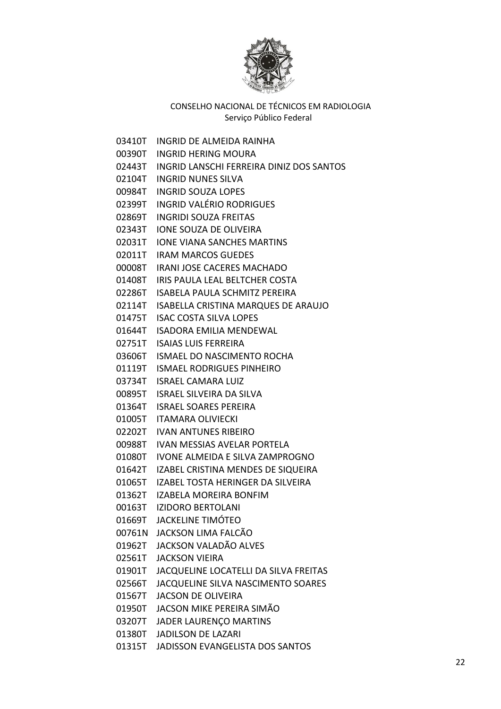

03410T INGRID DE ALMEIDA RAINHA 00390T INGRID HERING MOURA 02443T INGRID LANSCHI FERREIRA DINIZ DOS SANTOS 02104T INGRID NUNES SILVA 00984T INGRID SOUZA LOPES 02399T INGRID VALÉRIO RODRIGUES 02869T INGRIDI SOUZA FREITAS 02343T IONE SOUZA DE OLIVEIRA 02031T IONE VIANA SANCHES MARTINS 02011T IRAM MARCOS GUEDES 00008T IRANI JOSE CACERES MACHADO 01408T IRIS PAULA LEAL BELTCHER COSTA 02286T ISABELA PAULA SCHMITZ PEREIRA 02114T ISABELLA CRISTINA MARQUES DE ARAUJO 01475T ISAC COSTA SILVA LOPES 01644T ISADORA EMILIA MENDEWAL 02751T ISAIAS LUIS FERREIRA 03606T ISMAEL DO NASCIMENTO ROCHA 01119T ISMAEL RODRIGUES PINHEIRO 03734T ISRAEL CAMARA LUIZ 00895T ISRAEL SILVEIRA DA SILVA 01364T ISRAEL SOARES PEREIRA 01005T ITAMARA OLIVIECKI 02202T IVAN ANTUNES RIBEIRO 00988T IVAN MESSIAS AVELAR PORTELA 01080T IVONE ALMEIDA E SILVA ZAMPROGNO 01642T IZABEL CRISTINA MENDES DE SIQUEIRA 01065T IZABEL TOSTA HERINGER DA SILVEIRA 01362T IZABELA MOREIRA BONFIM 00163T IZIDORO BERTOLANI 01669T JACKELINE TIMÓTEO 00761N JACKSON LIMA FALCÃO 01962T JACKSON VALADÃO ALVES 02561T JACKSON VIEIRA 01901T JACQUELINE LOCATELLI DA SILVA FREITAS 02566T JACQUELINE SILVA NASCIMENTO SOARES 01567T JACSON DE OLIVEIRA 01950T JACSON MIKE PEREIRA SIMÃO 03207T JADER LAURENÇO MARTINS 01380T JADILSON DE LAZARI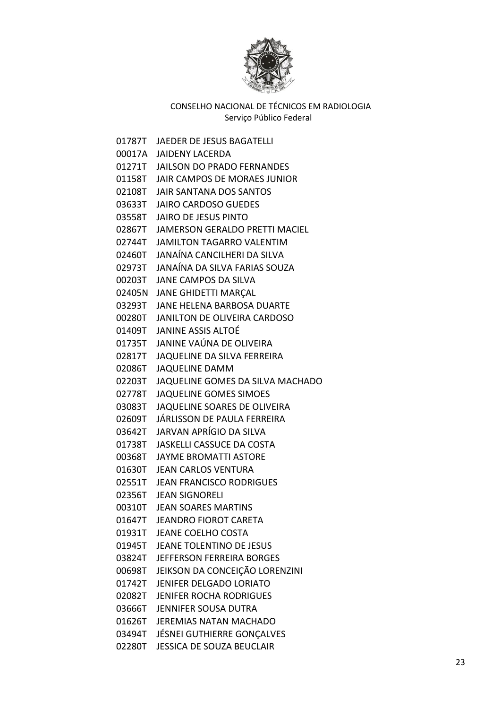

01787T JAEDER DE JESUS BAGATELLI 00017A JAIDENY LACERDA 01271T JAILSON DO PRADO FERNANDES 01158T JAIR CAMPOS DE MORAES JUNIOR 02108T JAIR SANTANA DOS SANTOS 03633T JAIRO CARDOSO GUEDES 03558T JAIRO DE JESUS PINTO 02867T JAMERSON GERALDO PRETTI MACIEL 02744T JAMILTON TAGARRO VALENTIM 02460T JANAÍNA CANCILHERI DA SILVA 02973T JANAÍNA DA SILVA FARIAS SOUZA 00203T JANE CAMPOS DA SILVA 02405N JANE GHIDETTI MARÇAL 03293T JANE HELENA BARBOSA DUARTE 00280T JANILTON DE OLIVEIRA CARDOSO 01409T JANINE ASSIS ALTOÉ 01735T JANINE VAÚNA DE OLIVEIRA 02817T JAQUELINE DA SILVA FERREIRA 02086T JAQUELINE DAMM 02203T JAQUELINE GOMES DA SILVA MACHADO 02778T JAQUELINE GOMES SIMOES 03083T JAQUELINE SOARES DE OLIVEIRA 02609T JÁRLISSON DE PAULA FERREIRA 03642T JARVAN APRÍGIO DA SILVA 01738T JASKELLI CASSUCE DA COSTA 00368T JAYME BROMATTI ASTORE 01630T JEAN CARLOS VENTURA 02551T JEAN FRANCISCO RODRIGUES 02356T JEAN SIGNORELI 00310T JEAN SOARES MARTINS 01647T JEANDRO FIOROT CARETA 01931T JEANE COELHO COSTA 01945T JEANE TOLENTINO DE JESUS 03824T JEFFERSON FERREIRA BORGES 00698T JEIKSON DA CONCEIÇÃO LORENZINI 01742T JENIFER DELGADO LORIATO 02082T JENIFER ROCHA RODRIGUES 03666T JENNIFER SOUSA DUTRA 01626T JEREMIAS NATAN MACHADO 03494T JÉSNEI GUTHIERRE GONÇALVES 02280T JESSICA DE SOUZA BEUCLAIR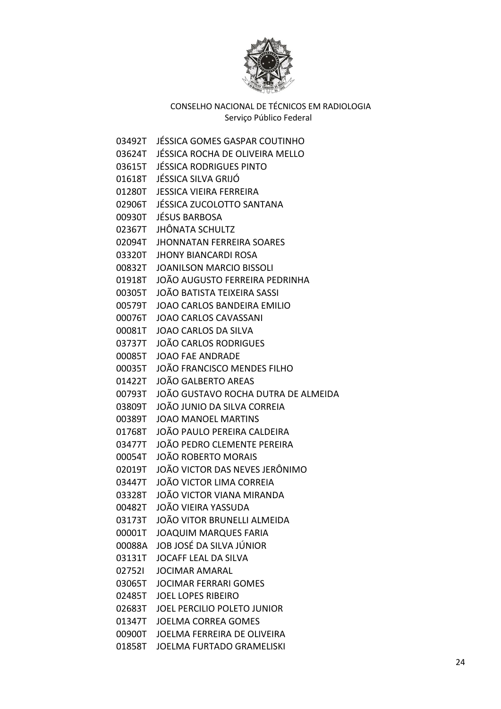

03492T JÉSSICA GOMES GASPAR COUTINHO 03624T JÉSSICA ROCHA DE OLIVEIRA MELLO 03615T JÉSSICA RODRIGUES PINTO 01618T JÉSSICA SILVA GRIJÓ 01280T JESSICA VIEIRA FERREIRA 02906T JÉSSICA ZUCOLOTTO SANTANA 00930T JÉSUS BARBOSA 02367T JHÔNATA SCHULTZ 02094T JHONNATAN FERREIRA SOARES 03320T JHONY BIANCARDI ROSA 00832T JOANILSON MARCIO BISSOLI 01918T JOÃO AUGUSTO FERREIRA PEDRINHA 00305T JOÃO BATISTA TEIXEIRA SASSI 00579T JOAO CARLOS BANDEIRA EMILIO 00076T JOAO CARLOS CAVASSANI 00081T JOAO CARLOS DA SILVA 03737T JOÃO CARLOS RODRIGUES 00085T JOAO FAE ANDRADE 00035T JOÃO FRANCISCO MENDES FILHO 01422T JOÃO GALBERTO AREAS 00793T JOÃO GUSTAVO ROCHA DUTRA DE ALMEIDA 03809T JOÃO JUNIO DA SILVA CORREIA 00389T JOAO MANOEL MARTINS 01768T JOÃO PAULO PEREIRA CALDEIRA 03477T JOÃO PEDRO CLEMENTE PEREIRA 00054T JOÃO ROBERTO MORAIS 02019T JOÃO VICTOR DAS NEVES JERÔNIMO 03447T JOÃO VICTOR LIMA CORREIA 03328T JOÃO VICTOR VIANA MIRANDA 00482T JOÃO VIEIRA YASSUDA 03173T JOÃO VITOR BRUNELLI ALMEIDA 00001T JOAQUIM MARQUES FARIA 00088A JOB JOSÉ DA SILVA JÚNIOR 03131T JOCAFF LEAL DA SILVA 02752I JOCIMAR AMARAL 03065T JOCIMAR FERRARI GOMES 02485T JOEL LOPES RIBEIRO 02683T JOEL PERCILIO POLETO JUNIOR 01347T JOELMA CORREA GOMES 00900T JOELMA FERREIRA DE OLIVEIRA 01858T JOELMA FURTADO GRAMELISKI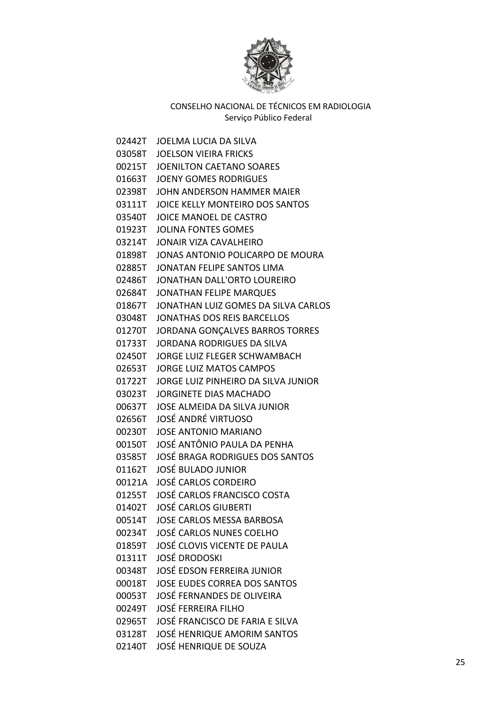

02442T JOELMA LUCIA DA SILVA 03058T JOELSON VIEIRA FRICKS 00215T JOENILTON CAETANO SOARES 01663T JOENY GOMES RODRIGUES 02398T JOHN ANDERSON HAMMER MAIER 03111T JOICE KELLY MONTEIRO DOS SANTOS 03540T JOICE MANOEL DE CASTRO 01923T JOLINA FONTES GOMES 03214T JONAIR VIZA CAVALHEIRO 01898T JONAS ANTONIO POLICARPO DE MOURA 02885T JONATAN FELIPE SANTOS LIMA 02486T JONATHAN DALL'ORTO LOUREIRO 02684T JONATHAN FELIPE MARQUES 01867T JONATHAN LUIZ GOMES DA SILVA CARLOS 03048T JONATHAS DOS REIS BARCELLOS 01270T JORDANA GONÇALVES BARROS TORRES 01733T JORDANA RODRIGUES DA SILVA 02450T JORGE LUIZ FLEGER SCHWAMBACH 02653T JORGE LUIZ MATOS CAMPOS 01722T JORGE LUIZ PINHEIRO DA SILVA JUNIOR 03023T JORGINETE DIAS MACHADO 00637T JOSE ALMEIDA DA SILVA JUNIOR 02656T JOSÉ ANDRÉ VIRTUOSO 00230T JOSE ANTONIO MARIANO 00150T JOSÉ ANTÔNIO PAULA DA PENHA 03585T JOSÉ BRAGA RODRIGUES DOS SANTOS 01162T JOSÉ BULADO JUNIOR 00121A JOSÉ CARLOS CORDEIRO 01255T JOSÉ CARLOS FRANCISCO COSTA 01402T JOSÉ CARLOS GIUBERTI 00514T JOSE CARLOS MESSA BARBOSA 00234T JOSÉ CARLOS NUNES COELHO 01859T JOSÉ CLOVIS VICENTE DE PAULA 01311T JOSÉ DRODOSKI 00348T JOSÉ EDSON FERREIRA JUNIOR 00018T JOSE EUDES CORREA DOS SANTOS 00053T JOSÉ FERNANDES DE OLIVEIRA 00249T JOSÉ FERREIRA FILHO 02965T JOSÉ FRANCISCO DE FARIA E SILVA 03128T JOSÉ HENRIQUE AMORIM SANTOS 02140T JOSÉ HENRIQUE DE SOUZA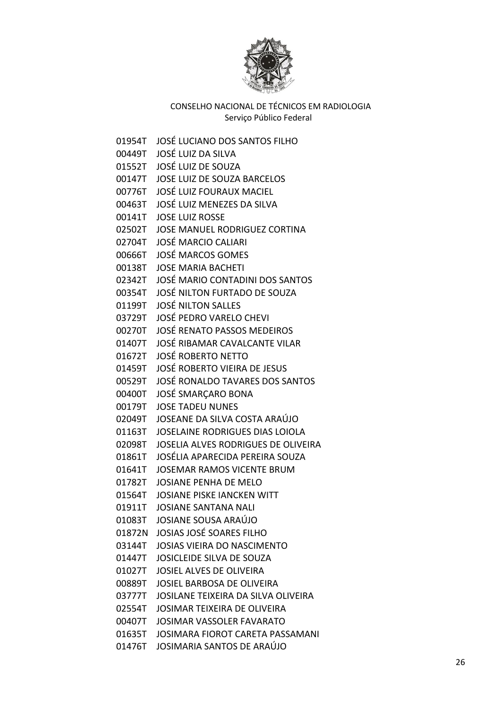

01954T JOSÉ LUCIANO DOS SANTOS FILHO 00449T JOSÉ LUIZ DA SILVA 01552T JOSÉ LUIZ DE SOUZA 00147T JOSE LUIZ DE SOUZA BARCELOS 00776T JOSÉ LUIZ FOURAUX MACIEL 00463T JOSÉ LUIZ MENEZES DA SILVA 00141T JOSE LUIZ ROSSE 02502T JOSE MANUEL RODRIGUEZ CORTINA 02704T JOSÉ MARCIO CALIARI 00666T JOSÉ MARCOS GOMES 00138T JOSE MARIA BACHETI 02342T JOSÉ MARIO CONTADINI DOS SANTOS 00354T JOSÉ NILTON FURTADO DE SOUZA 01199T JOSÉ NILTON SALLES 03729T JOSÉ PEDRO VARELO CHEVI 00270T JOSÉ RENATO PASSOS MEDEIROS 01407T JOSÉ RIBAMAR CAVALCANTE VILAR 01672T JOSÉ ROBERTO NETTO 01459T JOSÉ ROBERTO VIEIRA DE JESUS 00529T JOSÉ RONALDO TAVARES DOS SANTOS 00400T JOSÉ SMARÇARO BONA 00179T JOSE TADEU NUNES 02049T JOSEANE DA SILVA COSTA ARAÚJO 01163T JOSELAINE RODRIGUES DIAS LOIOLA 02098T JOSELIA ALVES RODRIGUES DE OLIVEIRA 01861T JOSÉLIA APARECIDA PEREIRA SOUZA 01641T JOSEMAR RAMOS VICENTE BRUM 01782T JOSIANE PENHA DE MELO 01564T JOSIANE PISKE IANCKEN WITT 01911T JOSIANE SANTANA NALI 01083T JOSIANE SOUSA ARAÚJO 01872N JOSIAS JOSÉ SOARES FILHO 03144T JOSIAS VIEIRA DO NASCIMENTO 01447T JOSICLEIDE SILVA DE SOUZA 01027T JOSIEL ALVES DE OLIVEIRA 00889T JOSIEL BARBOSA DE OLIVEIRA 03777T JOSILANE TEIXEIRA DA SILVA OLIVEIRA 02554T JOSIMAR TEIXEIRA DE OLIVEIRA 00407T JOSIMAR VASSOLER FAVARATO 01635T JOSIMARA FIOROT CARETA PASSAMANI 01476T JOSIMARIA SANTOS DE ARAÚJO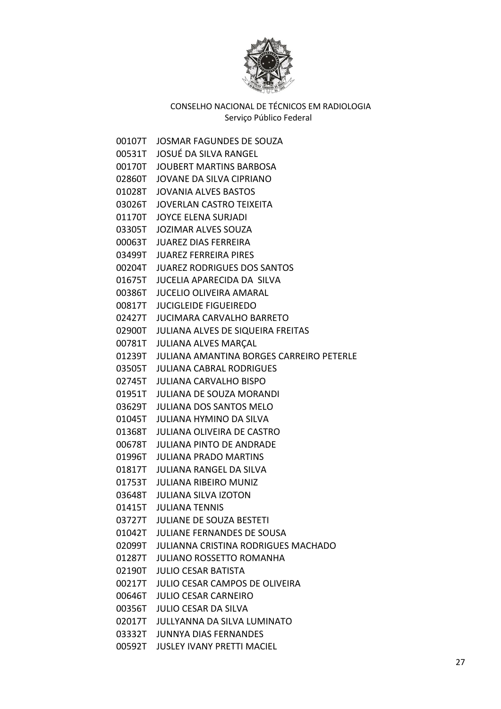

00107T JOSMAR FAGUNDES DE SOUZA 00531T JOSUÉ DA SILVA RANGEL 00170T JOUBERT MARTINS BARBOSA 02860T JOVANE DA SILVA CIPRIANO 01028T JOVANIA ALVES BASTOS 03026T JOVERLAN CASTRO TEIXEITA 01170T JOYCE ELENA SURJADI 03305T JOZIMAR ALVES SOUZA 00063T JUAREZ DIAS FERREIRA 03499T JUAREZ FERREIRA PIRES 00204T JUAREZ RODRIGUES DOS SANTOS 01675T JUCELIA APARECIDA DA SILVA 00386T JUCELIO OLIVEIRA AMARAL 00817T JUCIGLEIDE FIGUEIREDO 02427T JUCIMARA CARVALHO BARRETO 02900T JULIANA ALVES DE SIQUEIRA FREITAS 00781T JULIANA ALVES MARÇAL 01239T JULIANA AMANTINA BORGES CARREIRO PETERLE 03505T JULIANA CABRAL RODRIGUES 02745T JULIANA CARVALHO BISPO 01951T JULIANA DE SOUZA MORANDI 03629T JULIANA DOS SANTOS MELO 01045T JULIANA HYMINO DA SILVA 01368T JULIANA OLIVEIRA DE CASTRO 00678T JULIANA PINTO DE ANDRADE 01996T JULIANA PRADO MARTINS 01817T JULIANA RANGEL DA SILVA 01753T JULIANA RIBEIRO MUNIZ 03648T JULIANA SILVA IZOTON 01415T JULIANA TENNIS 03727T JULIANE DE SOUZA BESTETI 01042T JULIANE FERNANDES DE SOUSA 02099T JULIANNA CRISTINA RODRIGUES MACHADO 01287T JULIANO ROSSETTO ROMANHA 02190T JULIO CESAR BATISTA 00217T JULIO CESAR CAMPOS DE OLIVEIRA 00646T JULIO CESAR CARNEIRO 00356T JULIO CESAR DA SILVA 02017T JULLYANNA DA SILVA LUMINATO 03332T JUNNYA DIAS FERNANDES 00592T JUSLEY IVANY PRETTI MACIEL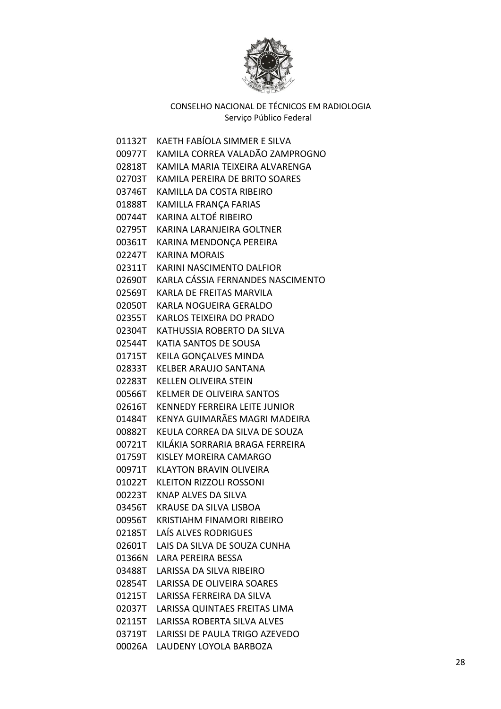

01132T KAETH FABÍOLA SIMMER E SILVA 00977T KAMILA CORREA VALADÃO ZAMPROGNO 02818T KAMILA MARIA TEIXEIRA ALVARENGA 02703T KAMILA PEREIRA DE BRITO SOARES 03746T KAMILLA DA COSTA RIBEIRO 01888T KAMILLA FRANÇA FARIAS 00744T KARINA ALTOÉ RIBEIRO 02795T KARINA LARANJEIRA GOLTNER 00361T KARINA MENDONÇA PEREIRA 02247T KARINA MORAIS 02311T KARINI NASCIMENTO DALFIOR 02690T KARLA CÁSSIA FERNANDES NASCIMENTO 02569T KARLA DE FREITAS MARVILA 02050T KARLA NOGUEIRA GERALDO 02355T KARLOS TEIXEIRA DO PRADO 02304T KATHUSSIA ROBERTO DA SILVA 02544T KATIA SANTOS DE SOUSA 01715T KEILA GONÇALVES MINDA 02833T KELBER ARAUJO SANTANA 02283T KELLEN OLIVEIRA STEIN 00566T KELMER DE OLIVEIRA SANTOS 02616T KENNEDY FERREIRA LEITE JUNIOR 01484T KENYA GUIMARÃES MAGRI MADEIRA 00882T KEULA CORREA DA SILVA DE SOUZA 00721T KILÁKIA SORRARIA BRAGA FERREIRA 01759T KISLEY MOREIRA CAMARGO 00971T KLAYTON BRAVIN OLIVEIRA 01022T KLEITON RIZZOLI ROSSONI 00223T KNAP ALVES DA SILVA 03456T KRAUSE DA SILVA LISBOA 00956T KRISTIAHM FINAMORI RIBEIRO 02185T LAÍS ALVES RODRIGUES 02601T LAIS DA SILVA DE SOUZA CUNHA 01366N LARA PEREIRA BESSA 03488T LARISSA DA SILVA RIBEIRO 02854T LARISSA DE OLIVEIRA SOARES 01215T LARISSA FERREIRA DA SILVA 02037T LARISSA QUINTAES FREITAS LIMA 02115T LARISSA ROBERTA SILVA ALVES 03719T LARISSI DE PAULA TRIGO AZEVEDO 00026A LAUDENY LOYOLA BARBOZA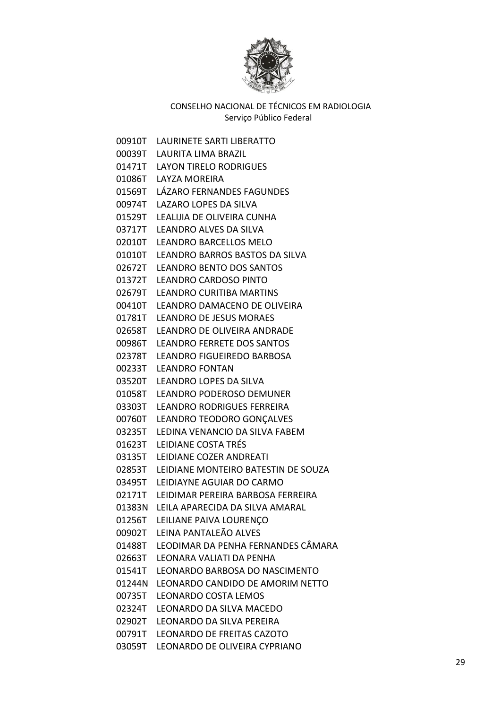

00910T LAURINETE SARTI LIBERATTO 00039T LAURITA LIMA BRAZIL 01471T LAYON TIRELO RODRIGUES 01086T LAYZA MOREIRA 01569T LÁZARO FERNANDES FAGUNDES 00974T LAZARO LOPES DA SILVA 01529T LEALIJIA DE OLIVEIRA CUNHA 03717T LEANDRO ALVES DA SILVA 02010T LEANDRO BARCELLOS MELO 01010T LEANDRO BARROS BASTOS DA SILVA 02672T LEANDRO BENTO DOS SANTOS 01372T LEANDRO CARDOSO PINTO 02679T LEANDRO CURITIBA MARTINS 00410T LEANDRO DAMACENO DE OLIVEIRA 01781T LEANDRO DE JESUS MORAES 02658T LEANDRO DE OLIVEIRA ANDRADE 00986T LEANDRO FERRETE DOS SANTOS 02378T LEANDRO FIGUEIREDO BARBOSA 00233T LEANDRO FONTAN 03520T LEANDRO LOPES DA SILVA 01058T LEANDRO PODEROSO DEMUNER 03303T LEANDRO RODRIGUES FERREIRA 00760T LEANDRO TEODORO GONÇALVES 03235T LEDINA VENANCIO DA SILVA FABEM 01623T LEIDIANE COSTA TRÉS 03135T LEIDIANE COZER ANDREATI 02853T LEIDIANE MONTEIRO BATESTIN DE SOUZA 03495T LEIDIAYNE AGUIAR DO CARMO 02171T LEIDIMAR PEREIRA BARBOSA FERREIRA 01383N LEILA APARECIDA DA SILVA AMARAL 01256T LEILIANE PAIVA LOURENÇO 00902T LEINA PANTALEÃO ALVES 01488T LEODIMAR DA PENHA FERNANDES CÂMARA 02663T LEONARA VALIATI DA PENHA 01541T LEONARDO BARBOSA DO NASCIMENTO 01244N LEONARDO CANDIDO DE AMORIM NETTO 00735T LEONARDO COSTA LEMOS 02324T LEONARDO DA SILVA MACEDO 02902T LEONARDO DA SILVA PEREIRA 00791T LEONARDO DE FREITAS CAZOTO 03059T LEONARDO DE OLIVEIRA CYPRIANO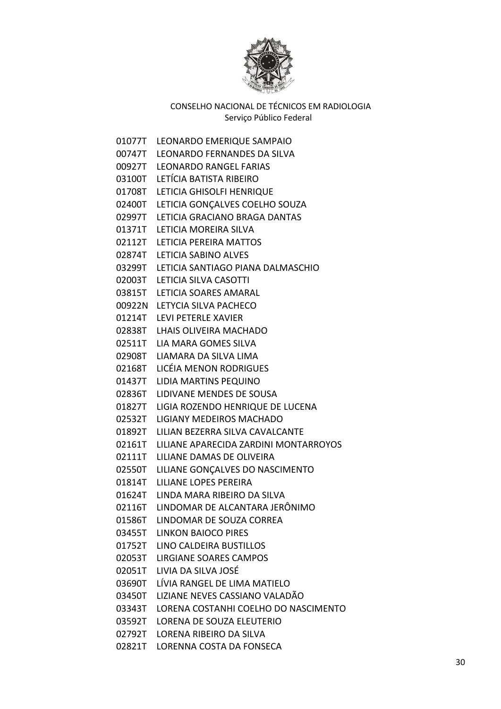

01077T LEONARDO EMERIQUE SAMPAIO 00747T LEONARDO FERNANDES DA SILVA 00927T LEONARDO RANGEL FARIAS 03100T LETÍCIA BATISTA RIBEIRO 01708T LETICIA GHISOLFI HENRIQUE 02400T LETICIA GONÇALVES COELHO SOUZA 02997T LETICIA GRACIANO BRAGA DANTAS 01371T LETICIA MOREIRA SILVA 02112T LETICIA PEREIRA MATTOS 02874T LETICIA SABINO ALVES 03299T LETICIA SANTIAGO PIANA DALMASCHIO 02003T LETICIA SILVA CASOTTI 03815T LETICIA SOARES AMARAL 00922N LETYCIA SILVA PACHECO 01214T LEVI PETERLE XAVIER 02838T LHAIS OLIVEIRA MACHADO 02511T LIA MARA GOMES SILVA 02908T LIAMARA DA SILVA LIMA 02168T LICÉIA MENON RODRIGUES 01437T LIDIA MARTINS PEQUINO 02836T LIDIVANE MENDES DE SOUSA 01827T LIGIA ROZENDO HENRIQUE DE LUCENA 02532T LIGIANY MEDEIROS MACHADO 01892T LILIAN BEZERRA SILVA CAVALCANTE 02161T LILIANE APARECIDA ZARDINI MONTARROYOS 02111T LILIANE DAMAS DE OLIVEIRA 02550T LILIANE GONÇALVES DO NASCIMENTO 01814T LILIANE LOPES PEREIRA 01624T LINDA MARA RIBEIRO DA SILVA 02116T LINDOMAR DE ALCANTARA JERÔNIMO 01586T LINDOMAR DE SOUZA CORREA 03455T LINKON BAIOCO PIRES 01752T LINO CALDEIRA BUSTILLOS 02053T LIRGIANE SOARES CAMPOS 02051T LIVIA DA SILVA JOSÉ 03690T LÍVIA RANGEL DE LIMA MATIELO 03450T LIZIANE NEVES CASSIANO VALADÃO 03343T LORENA COSTANHI COELHO DO NASCIMENTO 03592T LORENA DE SOUZA ELEUTERIO 02792T LORENA RIBEIRO DA SILVA 02821T LORENNA COSTA DA FONSECA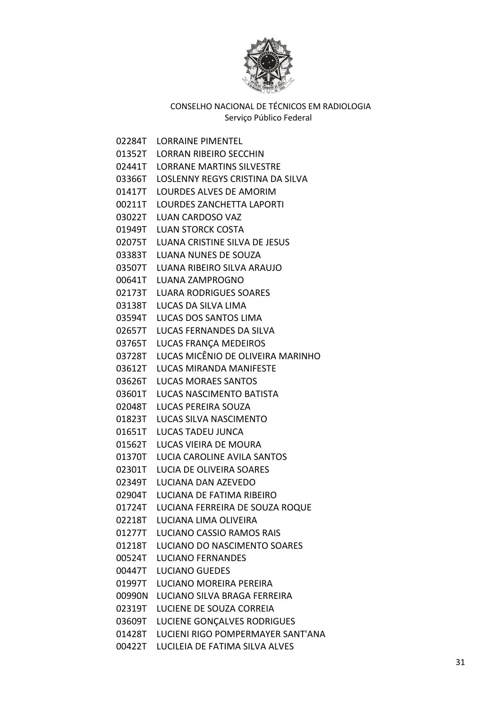

02284T LORRAINE PIMENTEL 01352T LORRAN RIBEIRO SECCHIN 02441T LORRANE MARTINS SILVESTRE 03366T LOSLENNY REGYS CRISTINA DA SILVA 01417T LOURDES ALVES DE AMORIM 00211T LOURDES ZANCHETTA LAPORTI 03022T LUAN CARDOSO VAZ 01949T LUAN STORCK COSTA 02075T LUANA CRISTINE SILVA DE JESUS 03383T LUANA NUNES DE SOUZA 03507T LUANA RIBEIRO SILVA ARAUJO 00641T LUANA ZAMPROGNO 02173T LUARA RODRIGUES SOARES 03138T LUCAS DA SILVA LIMA 03594T LUCAS DOS SANTOS LIMA 02657T LUCAS FERNANDES DA SILVA 03765T LUCAS FRANÇA MEDEIROS 03728T LUCAS MICÊNIO DE OLIVEIRA MARINHO 03612T LUCAS MIRANDA MANIFESTE 03626T LUCAS MORAES SANTOS 03601T LUCAS NASCIMENTO BATISTA 02048T LUCAS PEREIRA SOUZA 01823T LUCAS SILVA NASCIMENTO 01651T LUCAS TADEU JUNCA 01562T LUCAS VIEIRA DE MOURA 01370T LUCIA CAROLINE AVILA SANTOS 02301T LUCIA DE OLIVEIRA SOARES 02349T LUCIANA DAN AZEVEDO 02904T LUCIANA DE FATIMA RIBEIRO 01724T LUCIANA FERREIRA DE SOUZA ROQUE 02218T LUCIANA LIMA OLIVEIRA 01277T LUCIANO CASSIO RAMOS RAIS 01218T LUCIANO DO NASCIMENTO SOARES 00524T LUCIANO FERNANDES 00447T LUCIANO GUEDES 01997T LUCIANO MOREIRA PEREIRA 00990N LUCIANO SILVA BRAGA FERREIRA 02319T LUCIENE DE SOUZA CORREIA 03609T LUCIENE GONÇALVES RODRIGUES 01428T LUCIENI RIGO POMPERMAYER SANT'ANA 00422T LUCILEIA DE FATIMA SILVA ALVES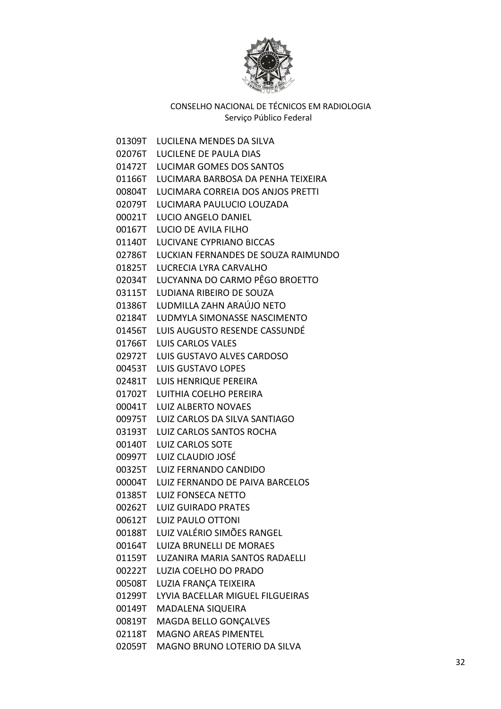

01309T LUCILENA MENDES DA SILVA 02076T LUCILENE DE PAULA DIAS 01472T LUCIMAR GOMES DOS SANTOS 01166T LUCIMARA BARBOSA DA PENHA TEIXEIRA 00804T LUCIMARA CORREIA DOS ANJOS PRETTI 02079T LUCIMARA PAULUCIO LOUZADA 00021T LUCIO ANGELO DANIEL 00167T LUCIO DE AVILA FILHO 01140T LUCIVANE CYPRIANO BICCAS 02786T LUCKIAN FERNANDES DE SOUZA RAIMUNDO 01825T LUCRECIA LYRA CARVALHO 02034T LUCYANNA DO CARMO PÊGO BROETTO 03115T LUDIANA RIBEIRO DE SOUZA 01386T LUDMILLA ZAHN ARAÚJO NETO 02184T LUDMYLA SIMONASSE NASCIMENTO 01456T LUIS AUGUSTO RESENDE CASSUNDÉ 01766T LUIS CARLOS VALES 02972T LUIS GUSTAVO ALVES CARDOSO 00453T LUIS GUSTAVO LOPES 02481T LUIS HENRIQUE PEREIRA 01702T LUITHIA COELHO PEREIRA 00041T LUIZ ALBERTO NOVAES 00975T LUIZ CARLOS DA SILVA SANTIAGO 03193T LUIZ CARLOS SANTOS ROCHA 00140T LUIZ CARLOS SOTE 00997T LUIZ CLAUDIO JOSÉ 00325T LUIZ FERNANDO CANDIDO 00004T LUIZ FERNANDO DE PAIVA BARCELOS 01385T LUIZ FONSECA NETTO 00262T LUIZ GUIRADO PRATES 00612T LUIZ PAULO OTTONI 00188T LUIZ VALÉRIO SIMÕES RANGEL 00164T LUIZA BRUNELLI DE MORAES 01159T LUZANIRA MARIA SANTOS RADAELLI 00222T LUZIA COELHO DO PRADO 00508T LUZIA FRANÇA TEIXEIRA 01299T LYVIA BACELLAR MIGUEL FILGUEIRAS 00149T MADALENA SIQUEIRA 00819T MAGDA BELLO GONÇALVES 02118T MAGNO AREAS PIMENTEL 02059T MAGNO BRUNO LOTERIO DA SILVA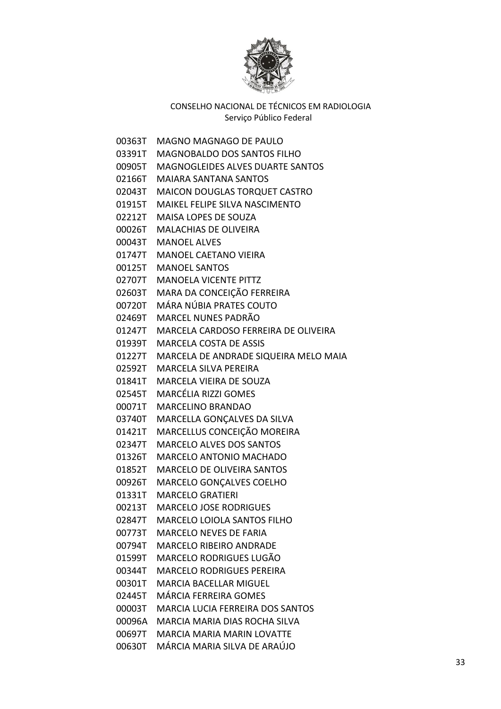

| 00363T | <b>MAGNO MAGNAGO DE PAULO</b>                |
|--------|----------------------------------------------|
|        | 03391T MAGNOBALDO DOS SANTOS FILHO           |
|        | 00905T MAGNOGLEIDES ALVES DUARTE SANTOS      |
|        | 02166T MAIARA SANTANA SANTOS                 |
|        | 02043T MAICON DOUGLAS TORQUET CASTRO         |
|        | 01915T MAIKEL FELIPE SILVA NASCIMENTO        |
|        | 02212T MAISA LOPES DE SOUZA                  |
|        | 00026T MALACHIAS DE OLIVEIRA                 |
|        | 00043T MANOEL ALVES                          |
|        | 01747T MANOEL CAETANO VIEIRA                 |
|        | 00125T MANOEL SANTOS                         |
|        | 02707T MANOELA VICENTE PITTZ                 |
| 02603T | MARA DA CONCEIÇÃO FERREIRA                   |
|        | 00720T – MÁRA NÚBIA PRATES COUTO             |
|        | 02469T – MARCEL NUNES PADRÃO                 |
| 01247T | MARCELA CARDOSO FERREIRA DE OLIVEIRA         |
|        | 01939T MARCELA COSTA DE ASSIS                |
|        | 01227T MARCELA DE ANDRADE SIQUEIRA MELO MAIA |
|        | 02592T MARCELA SILVA PEREIRA                 |
|        | 01841T MARCELA VIEIRA DE SOUZA               |
|        | 02545T MARCÉLIA RIZZI GOMES                  |
|        | 00071T MARCELINO BRANDAO                     |
| 03740T | MARCELLA GONÇALVES DA SILVA                  |
| 01421T | MARCELLUS CONCEIÇÃO MOREIRA                  |
| 02347T | <b>MARCELO ALVES DOS SANTOS</b>              |
| 01326T | <b>MARCELO ANTONIO MACHADO</b>               |
|        | 01852T MARCELO DE OLIVEIRA SANTOS            |
|        | 00926T MARCELO GONÇALVES COELHO              |
|        | 01331T MARCELO GRATIERI                      |
|        | 00213T MARCELO JOSE RODRIGUES                |
| 02847T | <b>MARCELO LOIOLA SANTOS FILHO</b>           |
| 00773T | <b>MARCELO NEVES DE FARIA</b>                |
| 00794T | <b>MARCELO RIBEIRO ANDRADE</b>               |
| 01599T | <b>MARCELO RODRIGUES LUGÃO</b>               |
| 00344T | <b>MARCELO RODRIGUES PEREIRA</b>             |
| 00301T | <b>MARCIA BACELLAR MIGUEL</b>                |
| 02445T | MÁRCIA FERREIRA GOMES                        |
| 00003T | <b>MARCIA LUCIA FERREIRA DOS SANTOS</b>      |
| 00096A | MARCIA MARIA DIAS ROCHA SILVA                |
| 00697T | <b>MARCIA MARIA MARIN LOVATTE</b>            |
| 00630T | MÁRCIA MARIA SILVA DE ARAÚJO                 |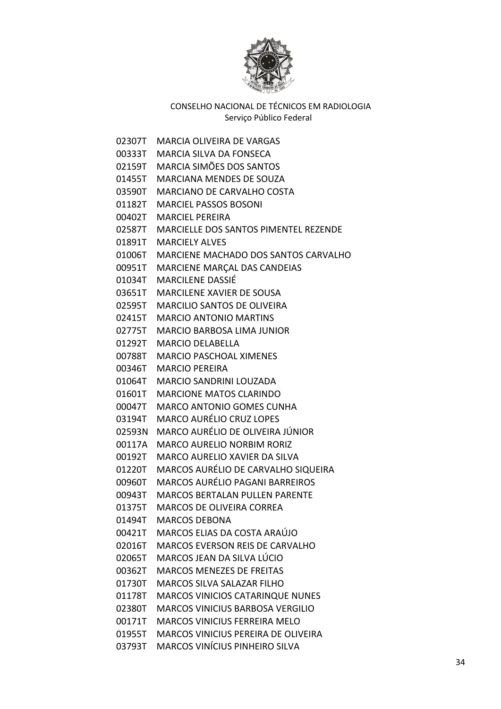

02307T MARCIA OLIVEIRA DE VARGAS 00333T MARCIA SILVA DA FONSECA 02159T MARCIA SIMÕES DOS SANTOS 01455T MARCIANA MENDES DE SOUZA 03590T MARCIANO DE CARVALHO COSTA 01182T MARCIEL PASSOS BOSONI 00402T MARCIEL PEREIRA 02587T MARCIELLE DOS SANTOS PIMENTEL REZENDE 01891T MARCIELY ALVES 01006T MARCIENE MACHADO DOS SANTOS CARVALHO 00951T MARCIENE MARÇAL DAS CANDEIAS 01034T MARCILENE DASSIÉ 03651T MARCILENE XAVIER DE SOUSA 02595T MARCILIO SANTOS DE OLIVEIRA 02415T MARCIO ANTONIO MARTINS 02775T MARCIO BARBOSA LIMA JUNIOR 01292T MARCIO DELABELLA 00788T MARCIO PASCHOAL XIMENES 00346T MARCIO PEREIRA 01064T MARCIO SANDRINI LOUZADA 01601T MARCIONE MATOS CLARINDO 00047T MARCO ANTONIO GOMES CUNHA 03194T MARCO AURÉLIO CRUZ LOPES 02593N MARCO AURÉLIO DE OLIVEIRA JÚNIOR 00117A MARCO AURELIO NORBIM RORIZ 00192T MARCO AURELIO XAVIER DA SILVA 01220T MARCOS AURÉLIO DE CARVALHO SIQUEIRA 00960T MARCOS AURÉLIO PAGANI BARREIROS 00943T MARCOS BERTALAN PULLEN PARENTE 01375T MARCOS DE OLIVEIRA CORREA 01494T MARCOS DEBONA 00421T MARCOS ELIAS DA COSTA ARAÚJO 02016T MARCOS EVERSON REIS DE CARVALHO 02065T MARCOS JEAN DA SILVA LÚCIO 00362T MARCOS MENEZES DE FREITAS 01730T MARCOS SILVA SALAZAR FILHO 01178T MARCOS VINICIOS CATARINQUE NUNES 02380T MARCOS VINICIUS BARBOSA VERGILIO 00171T MARCOS VINICIUS FERREIRA MELO 01955T MARCOS VINICIUS PEREIRA DE OLIVEIRA 03793T MARCOS VINÍCIUS PINHEIRO SILVA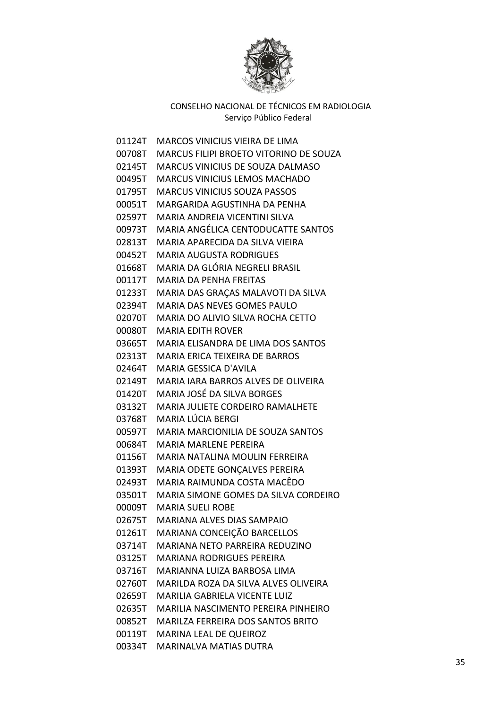

| 01124T   | MARCOS VINICIUS VIEIRA DE LIMA                |
|----------|-----------------------------------------------|
| 00708T   | <b>MARCUS FILIPI BROETO VITORINO DE SOUZA</b> |
| 02145T   | MARCUS VINICIUS DE SOUZA DALMASO              |
| 00495T   | <b>MARCUS VINICIUS LEMOS MACHADO</b>          |
| 01795T   | <b>MARCUS VINICIUS SOUZA PASSOS</b>           |
| 00051T   | MARGARIDA AGUSTINHA DA PENHA                  |
| 02597T   | MARIA ANDREIA VICENTINI SILVA                 |
| 00973T   | MARIA ANGÉLICA CENTODUCATTE SANTOS            |
| 02813T   | MARIA APARECIDA DA SILVA VIEIRA               |
| 00452T   | <b>MARIA AUGUSTA RODRIGUES</b>                |
| 01668T   | MARIA DA GLÓRIA NEGRELI BRASIL                |
| 00117T   | <b>MARIA DA PENHA FREITAS</b>                 |
| 01233T   | MARIA DAS GRAÇAS MALAVOTI DA SILVA            |
| 02394T   | MARIA DAS NEVES GOMES PAULO                   |
| 02070T   | MARIA DO ALIVIO SILVA ROCHA CETTO             |
| 00080T   | <b>MARIA EDITH ROVER</b>                      |
| 03665T   | <b>MARIA ELISANDRA DE LIMA DOS SANTOS</b>     |
| 02313T . | <b>MARIA ERICA TEIXEIRA DE BARROS</b>         |
| 02464T   | <b>MARIA GESSICA D'AVILA</b>                  |
| 02149T   | MARIA IARA BARROS ALVES DE OLIVEIRA           |
| 01420T   | MARIA JOSÉ DA SILVA BORGES                    |
| 03132T   | <b>MARIA JULIETE CORDEIRO RAMALHETE</b>       |
| 03768T   | MARIA LÚCIA BERGI                             |
| 00597T   | <b>MARIA MARCIONILIA DE SOUZA SANTOS</b>      |
| 00684T   | <b>MARIA MARLENE PEREIRA</b>                  |
| 01156T   | MARIA NATALINA MOULIN FERREIRA                |
| 01393T   | MARIA ODETE GONÇALVES PEREIRA                 |
| 02493T   | MARIA RAIMUNDA COSTA MACÊDO                   |
| 03501T   | MARIA SIMONE GOMES DA SILVA CORDEIRO          |
| 00009T   | <b>MARIA SUELI ROBE</b>                       |
| 02675T   | MARIANA ALVES DIAS SAMPAIO                    |
| 01261T   | MARIANA CONCEIÇÃO BARCELLOS                   |
| 03714T   | MARIANA NETO PARREIRA REDUZINO                |
| 03125T   | <b>MARIANA RODRIGUES PEREIRA</b>              |
| 03716T   | MARIANNA LUIZA BARBOSA LIMA                   |
| 02760T   | MARILDA ROZA DA SILVA ALVES OLIVEIRA          |
| 02659T   | <b>MARILIA GABRIELA VICENTE LUIZ</b>          |
| 02635T   | MARILIA NASCIMENTO PEREIRA PINHEIRO           |
| 00852T   | <b>MARILZA FERREIRA DOS SANTOS BRITO</b>      |
| 00119T   | MARINA LEAL DE QUEIROZ                        |
| 00334T   | <b>MARINALVA MATIAS DUTRA</b>                 |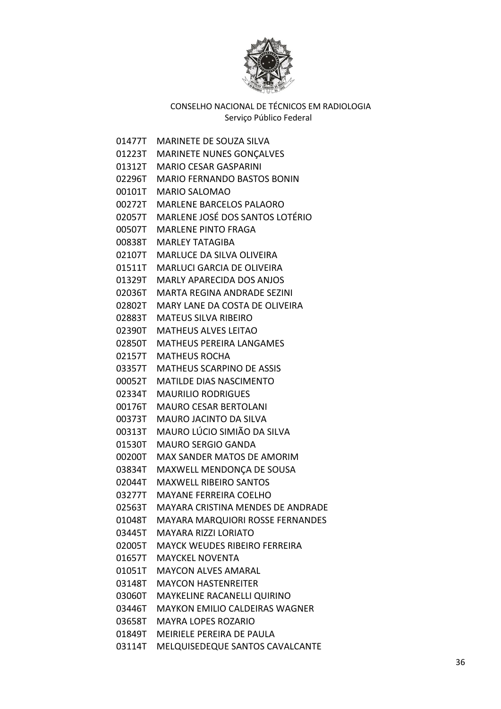

01477T MARINETE DE SOUZA SILVA 01223T MARINETE NUNES GONÇALVES 01312T MARIO CESAR GASPARINI 02296T MARIO FERNANDO BASTOS BONIN 00101T MARIO SALOMAO 00272T MARLENE BARCELOS PALAORO 02057T MARLENE JOSÉ DOS SANTOS LOTÉRIO 00507T MARLENE PINTO FRAGA 00838T MARLEY TATAGIBA 02107T MARLUCE DA SILVA OLIVEIRA 01511T MARLUCI GARCIA DE OLIVEIRA 01329T MARLY APARECIDA DOS ANJOS 02036T MARTA REGINA ANDRADE SEZINI 02802T MARY LANE DA COSTA DE OLIVEIRA 02883T MATEUS SILVA RIBEIRO 02390T MATHEUS ALVES LEITAO 02850T MATHEUS PEREIRA LANGAMES 02157T MATHEUS ROCHA 03357T MATHEUS SCARPINO DE ASSIS 00052T MATILDE DIAS NASCIMENTO 02334T MAURILIO RODRIGUES 00176T MAURO CESAR BERTOLANI 00373T MAURO JACINTO DA SILVA 00313T MAURO LÚCIO SIMIÃO DA SILVA 01530T MAURO SERGIO GANDA 00200T MAX SANDER MATOS DE AMORIM 03834T MAXWELL MENDONÇA DE SOUSA 02044T MAXWELL RIBEIRO SANTOS 03277T MAYANE FERREIRA COELHO 02563T MAYARA CRISTINA MENDES DE ANDRADE 01048T MAYARA MARQUIORI ROSSE FERNANDES 03445T MAYARA RIZZI LORIATO 02005T MAYCK WEUDES RIBEIRO FERREIRA 01657T MAYCKEL NOVENTA 01051T MAYCON ALVES AMARAL 03148T MAYCON HASTENREITER 03060T MAYKELINE RACANELLI QUIRINO 03446T MAYKON EMILIO CALDEIRAS WAGNER 03658T MAYRA LOPES ROZARIO 01849T MEIRIELE PEREIRA DE PAULA 03114T MELQUISEDEQUE SANTOS CAVALCANTE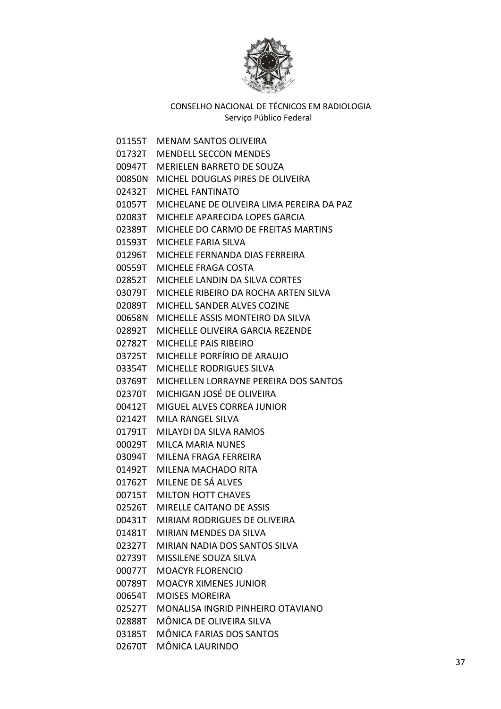

01155T MENAM SANTOS OLIVEIRA 01732T MENDELL SECCON MENDES 00947T MERIELEN BARRETO DE SOUZA 00850N MICHEL DOUGLAS PIRES DE OLIVEIRA 02432T MICHEL FANTINATO 01057T MICHELANE DE OLIVEIRA LIMA PEREIRA DA PAZ 02083T MICHELE APARECIDA LOPES GARCIA 02389T MICHELE DO CARMO DE FREITAS MARTINS 01593T MICHELE FARIA SILVA 01296T MICHELE FERNANDA DIAS FERREIRA 00559T MICHELE FRAGA COSTA 02852T MICHELE LANDIN DA SILVA CORTES 03079T MICHELE RIBEIRO DA ROCHA ARTEN SILVA 02089T MICHELL SANDER ALVES COZINE 00658N MICHELLE ASSIS MONTEIRO DA SILVA 02892T MICHELLE OLIVEIRA GARCIA REZENDE 02782T MICHELLE PAIS RIBEIRO 03725T MICHELLE PORFÍRIO DE ARAUJO 03354T MICHELLE RODRIGUES SILVA 03769T MICHELLEN LORRAYNE PEREIRA DOS SANTOS 02370T MICHIGAN JOSÉ DE OLIVEIRA 00412T MIGUEL ALVES CORREA JUNIOR 02142T MILA RANGEL SILVA 01791T MILAYDI DA SILVA RAMOS 00029T MILCA MARIA NUNES 03094T MILENA FRAGA FERREIRA 01492T MILENA MACHADO RITA 01762T MILENE DE SÁ ALVES 00715T MILTON HOTT CHAVES 02526T MIRELLE CAITANO DE ASSIS 00431T MIRIAM RODRIGUES DE OLIVEIRA 01481T MIRIAN MENDES DA SILVA 02327T MIRIAN NADIA DOS SANTOS SILVA 02739T MISSILENE SOUZA SILVA 00077T MOACYR FLORENCIO 00789T MOACYR XIMENES JUNIOR 00654T MOISES MOREIRA 02527T MONALISA INGRID PINHEIRO OTAVIANO 02888T MÔNICA DE OLIVEIRA SILVA 03185T MÔNICA FARIAS DOS SANTOS 02670T MÔNICA LAURINDO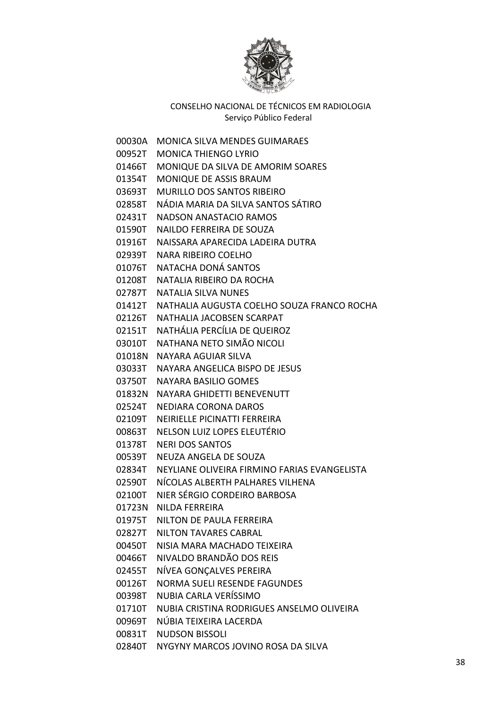

00030A MONICA SILVA MENDES GUIMARAES 00952T MONICA THIENGO LYRIO 01466T MONIQUE DA SILVA DE AMORIM SOARES 01354T MONIQUE DE ASSIS BRAUM 03693T MURILLO DOS SANTOS RIBEIRO 02858T NÁDIA MARIA DA SILVA SANTOS SÁTIRO 02431T NADSON ANASTACIO RAMOS 01590T NAILDO FERREIRA DE SOUZA 01916T NAISSARA APARECIDA LADEIRA DUTRA 02939T NARA RIBEIRO COELHO 01076T NATACHA DONÁ SANTOS 01208T NATALIA RIBEIRO DA ROCHA 02787T NATALIA SILVA NUNES 01412T NATHALIA AUGUSTA COELHO SOUZA FRANCO ROCHA 02126T NATHALIA JACOBSEN SCARPAT 02151T NATHÁLIA PERCÍLIA DE QUEIROZ 03010T NATHANA NETO SIMÃO NICOLI 01018N NAYARA AGUIAR SILVA 03033T NAYARA ANGELICA BISPO DE JESUS 03750T NAYARA BASILIO GOMES 01832N NAYARA GHIDETTI BENEVENUTT 02524T NEDIARA CORONA DAROS 02109T NEIRIELLE PICINATTI FERREIRA 00863T NELSON LUIZ LOPES ELEUTÉRIO 01378T NERI DOS SANTOS 00539T NEUZA ANGELA DE SOUZA 02834T NEYLIANE OLIVEIRA FIRMINO FARIAS EVANGELISTA 02590T NÍCOLAS ALBERTH PALHARES VILHENA 02100T NIER SÉRGIO CORDEIRO BARBOSA 01723N NILDA FERREIRA 01975T NILTON DE PAULA FERREIRA 02827T NILTON TAVARES CABRAL 00450T NISIA MARA MACHADO TEIXEIRA 00466T NIVALDO BRANDÃO DOS REIS 02455T NÍVEA GONÇALVES PEREIRA 00126T NORMA SUELI RESENDE FAGUNDES 00398T NUBIA CARLA VERÍSSIMO 01710T NUBIA CRISTINA RODRIGUES ANSELMO OLIVEIRA 00969T NÚBIA TEIXEIRA LACERDA 00831T NUDSON BISSOLI 02840T NYGYNY MARCOS JOVINO ROSA DA SILVA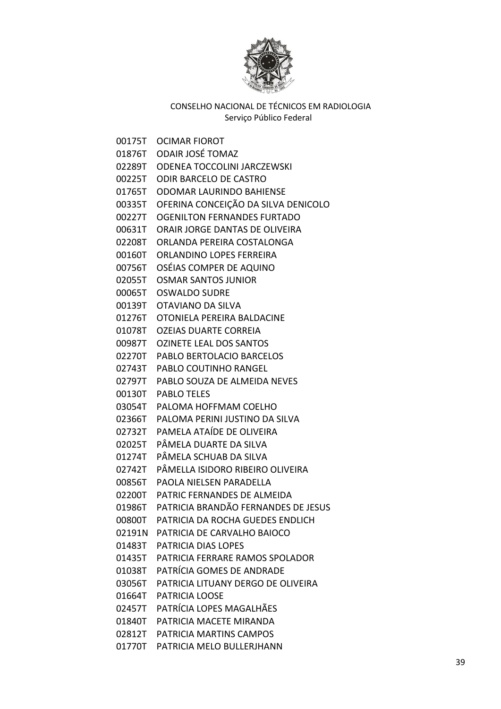

00175T OCIMAR FIOROT 01876T ODAIR JOSÉ TOMAZ 02289T ODENEA TOCCOLINI JARCZEWSKI 00225T ODIR BARCELO DE CASTRO 01765T ODOMAR LAURINDO BAHIENSE 00335T OFERINA CONCEIÇÃO DA SILVA DENICOLO 00227T OGENILTON FERNANDES FURTADO 00631T ORAIR JORGE DANTAS DE OLIVEIRA 02208T ORLANDA PEREIRA COSTALONGA 00160T ORLANDINO LOPES FERREIRA 00756T OSÉIAS COMPER DE AQUINO 02055T OSMAR SANTOS JUNIOR 00065T OSWALDO SUDRE 00139T OTAVIANO DA SILVA 01276T OTONIELA PEREIRA BALDACINE 01078T OZEIAS DUARTE CORREIA 00987T OZINETE LEAL DOS SANTOS 02270T PABLO BERTOLACIO BARCELOS 02743T PABLO COUTINHO RANGEL 02797T PABLO SOUZA DE ALMEIDA NEVES 00130T PABLO TELES 03054T PALOMA HOFFMAM COELHO 02366T PALOMA PERINI JUSTINO DA SILVA 02732T PAMELA ATAÍDE DE OLIVEIRA 02025T PÂMELA DUARTE DA SILVA 01274T PÂMELA SCHUAB DA SILVA 02742T PÂMELLA ISIDORO RIBEIRO OLIVEIRA 00856T PAOLA NIELSEN PARADELLA 02200T PATRIC FERNANDES DE ALMEIDA 01986T PATRICIA BRANDÃO FERNANDES DE JESUS 00800T PATRICIA DA ROCHA GUEDES ENDLICH 02191N PATRICIA DE CARVALHO BAIOCO 01483T PATRICIA DIAS LOPES 01435T PATRICIA FERRARE RAMOS SPOLADOR 01038T PATRÍCIA GOMES DE ANDRADE 03056T PATRICIA LITUANY DERGO DE OLIVEIRA 01664T PATRICIA LOOSE 02457T PATRÍCIA LOPES MAGALHÃES 01840T PATRICIA MACETE MIRANDA 02812T PATRICIA MARTINS CAMPOS 01770T PATRICIA MELO BULLERJHANN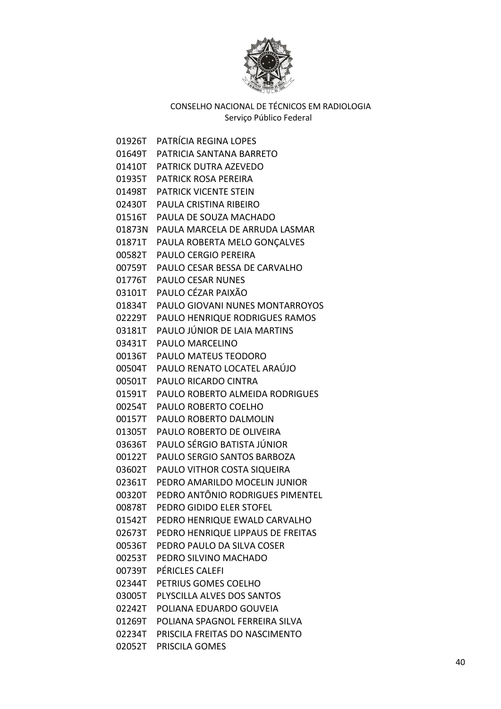

01926T PATRÍCIA REGINA LOPES 01649T PATRICIA SANTANA BARRETO 01410T PATRICK DUTRA AZEVEDO 01935T PATRICK ROSA PEREIRA 01498T PATRICK VICENTE STEIN 02430T PAULA CRISTINA RIBEIRO 01516T PAULA DE SOUZA MACHADO 01873N PAULA MARCELA DE ARRUDA LASMAR 01871T PAULA ROBERTA MELO GONÇALVES 00582T PAULO CERGIO PEREIRA 00759T PAULO CESAR BESSA DE CARVALHO 01776T PAULO CESAR NUNES 03101T PAULO CÉZAR PAIXÃO 01834T PAULO GIOVANI NUNES MONTARROYOS 02229T PAULO HENRIQUE RODRIGUES RAMOS 03181T PAULO JÚNIOR DE LAIA MARTINS 03431T PAULO MARCELINO 00136T PAULO MATEUS TEODORO 00504T PAULO RENATO LOCATEL ARAÚJO 00501T PAULO RICARDO CINTRA 01591T PAULO ROBERTO ALMEIDA RODRIGUES 00254T PAULO ROBERTO COELHO 00157T PAULO ROBERTO DALMOLIN 01305T PAULO ROBERTO DE OLIVEIRA 03636T PAULO SÉRGIO BATISTA JÚNIOR 00122T PAULO SERGIO SANTOS BARBOZA 03602T PAULO VITHOR COSTA SIQUEIRA 02361T PEDRO AMARILDO MOCELIN JUNIOR 00320T PEDRO ANTÔNIO RODRIGUES PIMENTEL 00878T PEDRO GIDIDO ELER STOFEL 01542T PEDRO HENRIQUE EWALD CARVALHO 02673T PEDRO HENRIQUE LIPPAUS DE FREITAS 00536T PEDRO PAULO DA SILVA COSER 00253T PEDRO SILVINO MACHADO 00739T PÉRICLES CALEFI 02344T PETRIUS GOMES COELHO 03005T PLYSCILLA ALVES DOS SANTOS 02242T POLIANA EDUARDO GOUVEIA 01269T POLIANA SPAGNOL FERREIRA SILVA 02234T PRISCILA FREITAS DO NASCIMENTO 02052T PRISCILA GOMES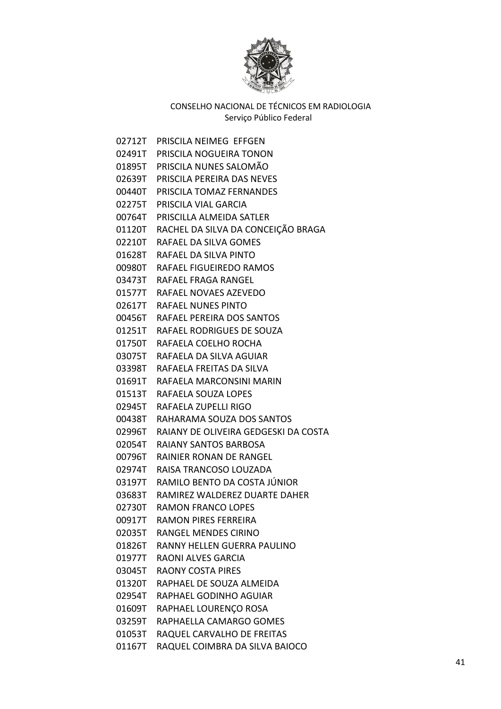

02712T PRISCILA NEIMEG EFFGEN 02491T PRISCILA NOGUEIRA TONON 01895T PRISCILA NUNES SALOMÃO 02639T PRISCILA PEREIRA DAS NEVES 00440T PRISCILA TOMAZ FERNANDES 02275T PRISCILA VIAL GARCIA 00764T PRISCILLA ALMEIDA SATLER 01120T RACHEL DA SILVA DA CONCEIÇÃO BRAGA 02210T RAFAEL DA SILVA GOMES 01628T RAFAEL DA SILVA PINTO 00980T RAFAEL FIGUEIREDO RAMOS 03473T RAFAEL FRAGA RANGEL 01577T RAFAEL NOVAES AZEVEDO 02617T RAFAEL NUNES PINTO 00456T RAFAEL PEREIRA DOS SANTOS 01251T RAFAEL RODRIGUES DE SOUZA 01750T RAFAELA COELHO ROCHA 03075T RAFAELA DA SILVA AGUIAR 03398T RAFAELA FREITAS DA SILVA 01691T RAFAELA MARCONSINI MARIN 01513T RAFAELA SOUZA LOPES 02945T RAFAELA ZUPELLI RIGO 00438T RAHARAMA SOUZA DOS SANTOS 02996T RAIANY DE OLIVEIRA GEDGESKI DA COSTA 02054T RAIANY SANTOS BARBOSA 00796T RAINIER RONAN DE RANGEL 02974T RAISA TRANCOSO LOUZADA 03197T RAMILO BENTO DA COSTA JÚNIOR 03683T RAMIREZ WALDEREZ DUARTE DAHER 02730T RAMON FRANCO LOPES 00917T RAMON PIRES FERREIRA 02035T RANGEL MENDES CIRINO 01826T RANNY HELLEN GUERRA PAULINO 01977T RAONI ALVES GARCIA 03045T RAONY COSTA PIRES 01320T RAPHAEL DE SOUZA ALMEIDA 02954T RAPHAEL GODINHO AGUIAR 01609T RAPHAEL LOURENÇO ROSA 03259T RAPHAELLA CAMARGO GOMES 01053T RAQUEL CARVALHO DE FREITAS 01167T RAQUEL COIMBRA DA SILVA BAIOCO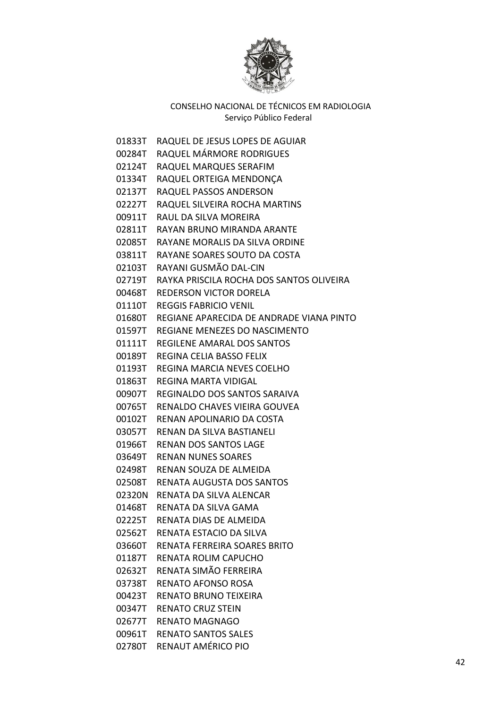

| 01833T | RAQUEL DE JESUS LOPES DE AGUIAR          |
|--------|------------------------------------------|
| 00284T | RAQUEL MÁRMORE RODRIGUES                 |
| 02124T | RAQUEL MARQUES SERAFIM                   |
| 01334T | RAQUEL ORTEIGA MENDONÇA                  |
| 02137T | RAQUEL PASSOS ANDERSON                   |
| 02227T | RAQUEL SILVEIRA ROCHA MARTINS            |
| 00911T | RAUL DA SILVA MOREIRA                    |
| 02811T | RAYAN BRUNO MIRANDA ARANTE               |
| 02085T | RAYANE MORALIS DA SILVA ORDINE           |
| 03811T | RAYANE SOARES SOUTO DA COSTA             |
| 02103T | RAYANI GUSMÃO DAL-CIN                    |
| 02719T | RAYKA PRISCILA ROCHA DOS SANTOS OLIVEIRA |
| 00468T | <b>REDERSON VICTOR DORELA</b>            |
| 01110T | <b>REGGIS FABRICIO VENIL</b>             |
| 01680T | REGIANE APARECIDA DE ANDRADE VIANA PINTO |
| 01597T | REGIANE MENEZES DO NASCIMENTO            |
| 01111T | REGILENE AMARAL DOS SANTOS               |
| 00189T | REGINA CELIA BASSO FELIX                 |
| 01193T | <b>REGINA MARCIA NEVES COELHO</b>        |
| 01863T | REGINA MARTA VIDIGAL                     |
| 00907T | REGINALDO DOS SANTOS SARAIVA             |
| 00765T | RENALDO CHAVES VIEIRA GOUVEA             |
| 00102T | RENAN APOLINARIO DA COSTA                |
| 03057T | RENAN DA SILVA BASTIANELI                |
| 01966T | <b>RENAN DOS SANTOS LAGE</b>             |
| 03649T | <b>RENAN NUNES SOARES</b>                |
| 02498T | RENAN SOUZA DE ALMEIDA                   |
| 02508T | RENATA AUGUSTA DOS SANTOS                |
| 02320N | RENATA DA SILVA ALENCAR                  |
| 01468T | RENATA DA SILVA GAMA                     |
| 02225T | RENATA DIAS DE ALMEIDA                   |
| 02562T | RENATA ESTACIO DA SILVA                  |
| 03660T | RENATA FERREIRA SOARES BRITO             |
| 01187T | <b>RENATA ROLIM CAPUCHO</b>              |
| 02632T | RENATA SIMÃO FERREIRA                    |
| 03738T | <b>RENATO AFONSO ROSA</b>                |
| 00423T | <b>RENATO BRUNO TEIXEIRA</b>             |
| 00347T | <b>RENATO CRUZ STEIN</b>                 |
| 02677T | <b>RENATO MAGNAGO</b>                    |
| 00961T | <b>RENATO SANTOS SALES</b>               |
| 02780T | RENAUT AMÉRICO PIO                       |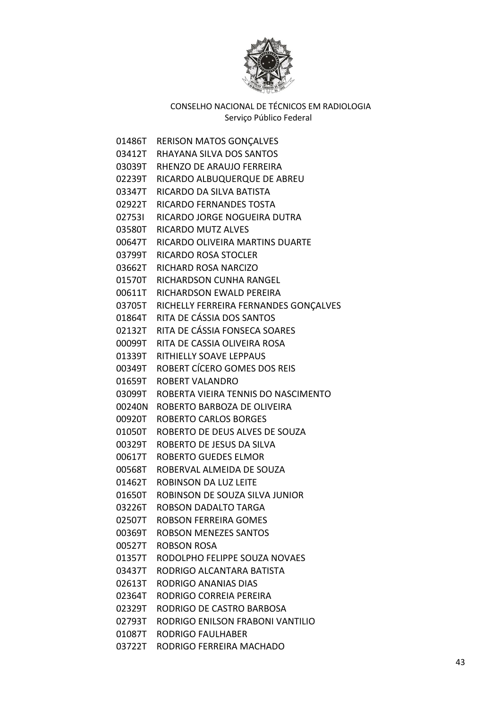

| 01486T | <b>RERISON MATOS GONÇALVES</b>        |
|--------|---------------------------------------|
|        | 03412T RHAYANA SILVA DOS SANTOS       |
| 03039T | RHENZO DE ARAUJO FERREIRA             |
| 02239T | RICARDO ALBUQUERQUE DE ABREU          |
| 03347T | RICARDO DA SILVA BATISTA              |
| 02922T | RICARDO FERNANDES TOSTA               |
| 027531 | RICARDO JORGE NOGUEIRA DUTRA          |
| 03580T | <b>RICARDO MUTZ ALVES</b>             |
| 00647T | RICARDO OLIVEIRA MARTINS DUARTE       |
| 03799T | <b>RICARDO ROSA STOCLER</b>           |
| 03662T | RICHARD ROSA NARCIZO                  |
| 01570T | RICHARDSON CUNHA RANGEL               |
| 00611T | RICHARDSON EWALD PEREIRA              |
| 03705T | RICHELLY FERREIRA FERNANDES GONÇALVES |
| 01864T | RITA DE CÁSSIA DOS SANTOS             |
| 02132T | RITA DE CÁSSIA FONSECA SOARES         |
| 00099T | RITA DE CASSIA OLIVEIRA ROSA          |
| 01339T | RITHIELLY SOAVE LEPPAUS               |
| 00349T | ROBERT CÍCERO GOMES DOS REIS          |
| 01659T | ROBERT VALANDRO                       |
| 03099T | ROBERTA VIEIRA TENNIS DO NASCIMENTO   |
| 00240N | ROBERTO BARBOZA DE OLIVEIRA           |
| 00920T | <b>ROBERTO CARLOS BORGES</b>          |
| 01050T | ROBERTO DE DEUS ALVES DE SOUZA        |
| 00329T | ROBERTO DE JESUS DA SILVA             |
| 00617T | ROBERTO GUEDES ELMOR                  |
| 00568T | ROBERVAL ALMEIDA DE SOUZA             |
| 01462T | ROBINSON DA LUZ LEITE                 |
| 01650T | ROBINSON DE SOUZA SILVA JUNIOR        |
| 03226T | ROBSON DADALTO TARGA                  |
| 02507T | <b>ROBSON FERREIRA GOMES</b>          |
| 00369T | <b>ROBSON MENEZES SANTOS</b>          |
| 00527T | ROBSON ROSA                           |
| 01357T | RODOLPHO FELIPPE SOUZA NOVAES         |
| 03437T | RODRIGO ALCANTARA BATISTA             |
| 02613T | RODRIGO ANANIAS DIAS                  |
| 02364T | RODRIGO CORREIA PEREIRA               |
| 02329T | RODRIGO DE CASTRO BARBOSA             |
| 02793T | RODRIGO ENILSON FRABONI VANTILIO      |
| 01087T | RODRIGO FAULHABER                     |
| 03722T | RODRIGO FERREIRA MACHADO              |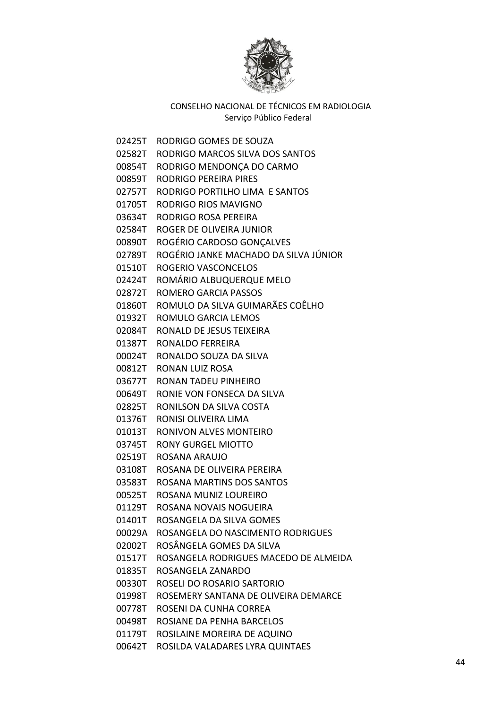

02425T RODRIGO GOMES DE SOUZA 02582T RODRIGO MARCOS SILVA DOS SANTOS 00854T RODRIGO MENDONÇA DO CARMO 00859T RODRIGO PEREIRA PIRES 02757T RODRIGO PORTILHO LIMA E SANTOS 01705T RODRIGO RIOS MAVIGNO 03634T RODRIGO ROSA PEREIRA 02584T ROGER DE OLIVEIRA JUNIOR 00890T ROGÉRIO CARDOSO GONÇALVES 02789T ROGÉRIO JANKE MACHADO DA SILVA JÚNIOR 01510T ROGERIO VASCONCELOS 02424T ROMÁRIO ALBUQUERQUE MELO 02872T ROMERO GARCIA PASSOS 01860T ROMULO DA SILVA GUIMARÃES COÊLHO 01932T ROMULO GARCIA LEMOS 02084T RONALD DE JESUS TEIXEIRA 01387T RONALDO FERREIRA 00024T RONALDO SOUZA DA SILVA 00812T RONAN LUIZ ROSA 03677T RONAN TADEU PINHEIRO 00649T RONIE VON FONSECA DA SILVA 02825T RONILSON DA SILVA COSTA 01376T RONISI OLIVEIRA LIMA 01013T RONIVON ALVES MONTEIRO 03745T RONY GURGEL MIOTTO 02519T ROSANA ARAUJO 03108T ROSANA DE OLIVEIRA PEREIRA 03583T ROSANA MARTINS DOS SANTOS 00525T ROSANA MUNIZ LOUREIRO 01129T ROSANA NOVAIS NOGUEIRA 01401T ROSANGELA DA SILVA GOMES 00029A ROSANGELA DO NASCIMENTO RODRIGUES 02002T ROSÂNGELA GOMES DA SILVA 01517T ROSANGELA RODRIGUES MACEDO DE ALMEIDA 01835T ROSANGELA ZANARDO 00330T ROSELI DO ROSARIO SARTORIO 01998T ROSEMERY SANTANA DE OLIVEIRA DEMARCE 00778T ROSENI DA CUNHA CORREA 00498T ROSIANE DA PENHA BARCELOS 01179T ROSILAINE MOREIRA DE AQUINO 00642T ROSILDA VALADARES LYRA QUINTAES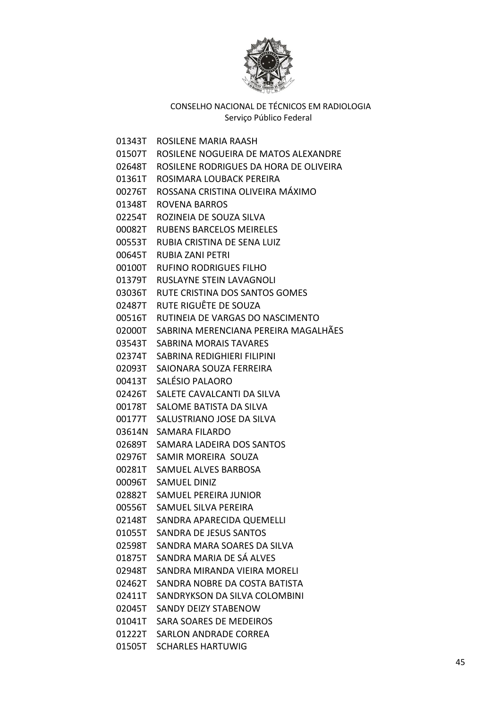

| 01343T | ROSILENE MARIA RAASH                   |
|--------|----------------------------------------|
| 01507T | ROSILENE NOGUEIRA DE MATOS ALEXANDRE   |
| 02648T | ROSILENE RODRIGUES DA HORA DE OLIVEIRA |
| 01361T | ROSIMARA LOUBACK PEREIRA               |
| 00276T | ROSSANA CRISTINA OLIVEIRA MÁXIMO       |
| 01348T | ROVENA BARROS                          |
| 02254T | ROZINEIA DE SOUZA SILVA                |
| 00082T | <b>RUBENS BARCELOS MEIRELES</b>        |
| 00553T | RUBIA CRISTINA DE SENA LUIZ            |
| 00645T | RUBIA ZANI PETRI                       |
| 00100T | RUFINO RODRIGUES FILHO                 |
| 01379T | <b>RUSLAYNE STEIN LAVAGNOLI</b>        |
| 03036T | RUTE CRISTINA DOS SANTOS GOMES         |
| 02487T | RUTE RIGUÊTE DE SOUZA                  |
| 00516T | RUTINEIA DE VARGAS DO NASCIMENTO       |
| 02000T | SABRINA MERENCIANA PEREIRA MAGALHÃES   |
| 03543T | SABRINA MORAIS TAVARES                 |
| 02374T | SABRINA REDIGHIERI FILIPINI            |
| 02093T | SAIONARA SOUZA FERREIRA                |
| 00413T | SALÉSIO PALAORO                        |
| 02426T | SALETE CAVALCANTI DA SILVA             |
| 00178T | SALOME BATISTA DA SILVA                |
| 00177T | SALUSTRIANO JOSE DA SILVA              |
| 03614N | SAMARA FILARDO                         |
| 02689T | SAMARA LADEIRA DOS SANTOS              |
| 02976T | SAMIR MOREIRA SOUZA                    |
| 00281T | <b>SAMUEL ALVES BARBOSA</b>            |
| 00096T | <b>SAMUEL DINIZ</b>                    |
| 02882T | SAMUEL PEREIRA JUNIOR                  |
| 00556T | SAMUEL SILVA PEREIRA                   |
| 02148T | SANDRA APARECIDA QUEMELLI              |
| 01055T | <b>SANDRA DE JESUS SANTOS</b>          |
| 02598T | SANDRA MARA SOARES DA SILVA            |
| 01875T | SANDRA MARIA DE SÁ ALVES               |
| 02948T | SANDRA MIRANDA VIEIRA MORELI           |
| 02462T | SANDRA NOBRE DA COSTA BATISTA          |
| 02411T | SANDRYKSON DA SILVA COLOMBINI          |
| 02045T | SANDY DEIZY STABENOW                   |
| 01041T | <b>SARA SOARES DE MEDEIROS</b>         |
| 01222T | <b>SARLON ANDRADE CORREA</b>           |
| 01505T | <b>SCHARLES HARTUWIG</b>               |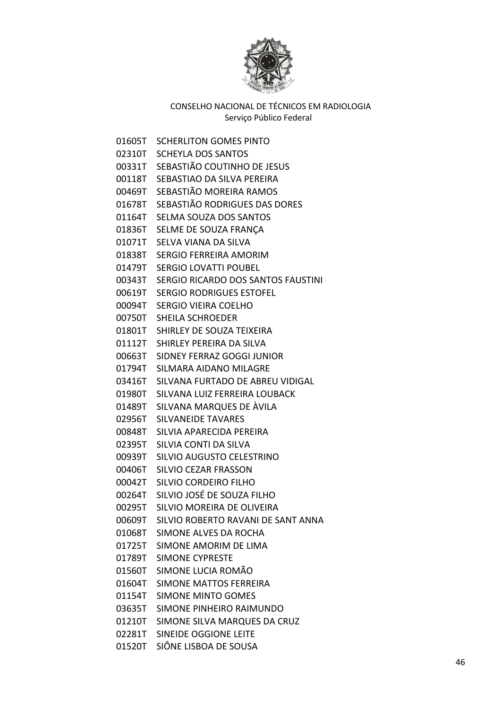

01605T SCHERLITON GOMES PINTO 02310T SCHEYLA DOS SANTOS 00331T SEBASTIÃO COUTINHO DE JESUS 00118T SEBASTIAO DA SILVA PEREIRA 00469T SEBASTIÃO MOREIRA RAMOS 01678T SEBASTIÃO RODRIGUES DAS DORES 01164T SELMA SOUZA DOS SANTOS 01836T SELME DE SOUZA FRANÇA 01071T SELVA VIANA DA SILVA 01838T SERGIO FERREIRA AMORIM 01479T SERGIO LOVATTI POUBEL 00343T SERGIO RICARDO DOS SANTOS FAUSTINI 00619T SERGIO RODRIGUES ESTOFEL 00094T SERGIO VIEIRA COELHO 00750T SHEILA SCHROEDER 01801T SHIRLEY DE SOUZA TEIXEIRA 01112T SHIRLEY PEREIRA DA SILVA 00663T SIDNEY FERRAZ GOGGI JUNIOR 01794T SILMARA AIDANO MILAGRE 03416T SILVANA FURTADO DE ABREU VIDIGAL 01980T SILVANA LUIZ FERREIRA LOUBACK 01489T SILVANA MARQUES DE ÀVILA 02956T SILVANEIDE TAVARES 00848T SILVIA APARECIDA PEREIRA 02395T SILVIA CONTI DA SILVA 00939T SILVIO AUGUSTO CELESTRINO 00406T SILVIO CEZAR FRASSON 00042T SILVIO CORDEIRO FILHO 00264T SILVIO JOSÉ DE SOUZA FILHO 00295T SILVIO MOREIRA DE OLIVEIRA 00609T SILVIO ROBERTO RAVANI DE SANT ANNA 01068T SIMONE ALVES DA ROCHA 01725T SIMONE AMORIM DE LIMA 01789T SIMONE CYPRESTE 01560T SIMONE LUCIA ROMÃO 01604T SIMONE MATTOS FERREIRA 01154T SIMONE MINTO GOMES 03635T SIMONE PINHEIRO RAIMUNDO 01210T SIMONE SILVA MARQUES DA CRUZ 02281T SINEIDE OGGIONE LEITE 01520T SIÔNE LISBOA DE SOUSA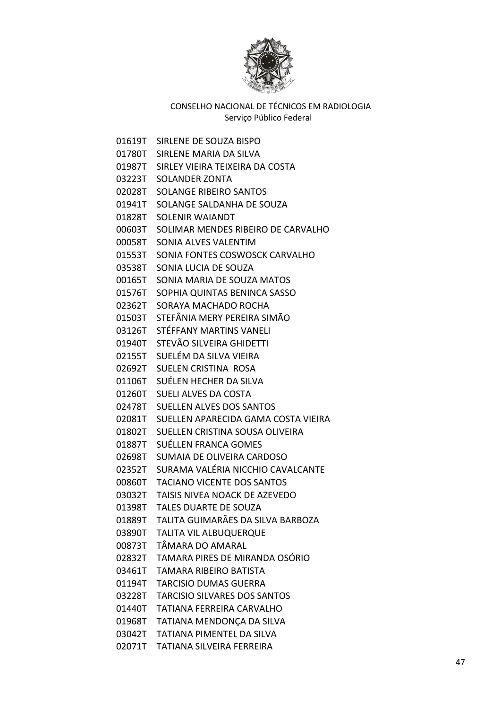

01619T SIRLENE DE SOUZA BISPO 01780T SIRLENE MARIA DA SILVA 01987T SIRLEY VIEIRA TEIXEIRA DA COSTA 03223T SOLANDER ZONTA 02028T SOLANGE RIBEIRO SANTOS 01941T SOLANGE SALDANHA DE SOUZA 01828T SOLENIR WAIANDT 00603T SOLIMAR MENDES RIBEIRO DE CARVALHO 00058T SONIA ALVES VALENTIM 01553T SONIA FONTES COSWOSCK CARVALHO 03538T SONIA LUCIA DE SOUZA 00165T SONIA MARIA DE SOUZA MATOS 01576T SOPHIA QUINTAS BENINCA SASSO 02362T SORAYA MACHADO ROCHA 01503T STEFÂNIA MERY PEREIRA SIMÃO 03126T STÉFFANY MARTINS VANELI 01940T STEVÃO SILVEIRA GHIDETTI 02155T SUELÉM DA SILVA VIEIRA 02692T SUELEN CRISTINA ROSA 01106T SUÉLEN HECHER DA SILVA 01260T SUELI ALVES DA COSTA 02478T SUELLEN ALVES DOS SANTOS 02081T SUELLEN APARECIDA GAMA COSTA VIEIRA 01802T SUELLEN CRISTINA SOUSA OLIVEIRA 01887T SUÉLLEN FRANCA GOMES 02698T SUMAIA DE OLIVEIRA CARDOSO 02352T SURAMA VALÉRIA NICCHIO CAVALCANTE 00860T TACIANO VICENTE DOS SANTOS 03032T TAISIS NIVEA NOACK DE AZEVEDO 01398T TALES DUARTE DE SOUZA 01889T TALITA GUIMARÃES DA SILVA BARBOZA 03890T TALITA VIL ALBUQUERQUE 00873T TÂMARA DO AMARAL 02832T TAMARA PIRES DE MIRANDA OSÓRIO 03461T TAMARA RIBEIRO BATISTA 01194T TARCISIO DUMAS GUERRA 03228T TARCISIO SILVARES DOS SANTOS 01440T TATIANA FERREIRA CARVALHO 01968T TATIANA MENDONÇA DA SILVA 03042T TATIANA PIMENTEL DA SILVA 02071T TATIANA SILVEIRA FERREIRA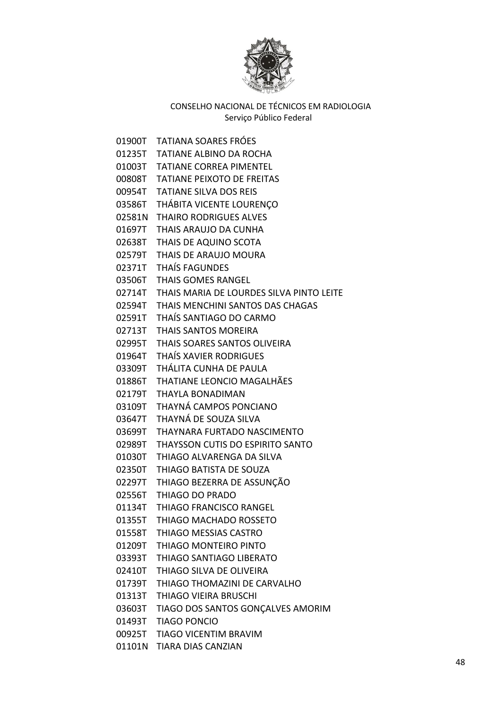

01900T TATIANA SOARES FRÓES 01235T TATIANE ALBINO DA ROCHA 01003T TATIANE CORREA PIMENTEL 00808T TATIANE PEIXOTO DE FREITAS 00954T TATIANE SILVA DOS REIS 03586T THÁBITA VICENTE LOURENÇO 02581N THAIRO RODRIGUES ALVES 01697T THAIS ARAUJO DA CUNHA 02638T THAIS DE AQUINO SCOTA 02579T THAIS DE ARAUJO MOURA 02371T THAÍS FAGUNDES 03506T THAIS GOMES RANGEL 02714T THAIS MARIA DE LOURDES SILVA PINTO LEITE 02594T THAIS MENCHINI SANTOS DAS CHAGAS 02591T THAÍS SANTIAGO DO CARMO 02713T THAIS SANTOS MOREIRA 02995T THAIS SOARES SANTOS OLIVEIRA 01964T THAÍS XAVIER RODRIGUES 03309T THÁLITA CUNHA DE PAULA 01886T THATIANE LEONCIO MAGALHÃES 02179T THAYLA BONADIMAN 03109T THAYNÁ CAMPOS PONCIANO 03647T THAYNÁ DE SOUZA SILVA 03699T THAYNARA FURTADO NASCIMENTO 02989T THAYSSON CUTIS DO ESPIRITO SANTO 01030T THIAGO ALVARENGA DA SILVA 02350T THIAGO BATISTA DE SOUZA 02297T THIAGO BEZERRA DE ASSUNÇÃO 02556T THIAGO DO PRADO 01134T THIAGO FRANCISCO RANGEL 01355T THIAGO MACHADO ROSSETO 01558T THIAGO MESSIAS CASTRO 01209T THIAGO MONTEIRO PINTO 03393T THIAGO SANTIAGO LIBERATO 02410T THIAGO SILVA DE OLIVEIRA 01739T THIAGO THOMAZINI DE CARVALHO 01313T THIAGO VIEIRA BRUSCHI 03603T TIAGO DOS SANTOS GONÇALVES AMORIM 01493T TIAGO PONCIO 00925T TIAGO VICENTIM BRAVIM 01101N TIARA DIAS CANZIAN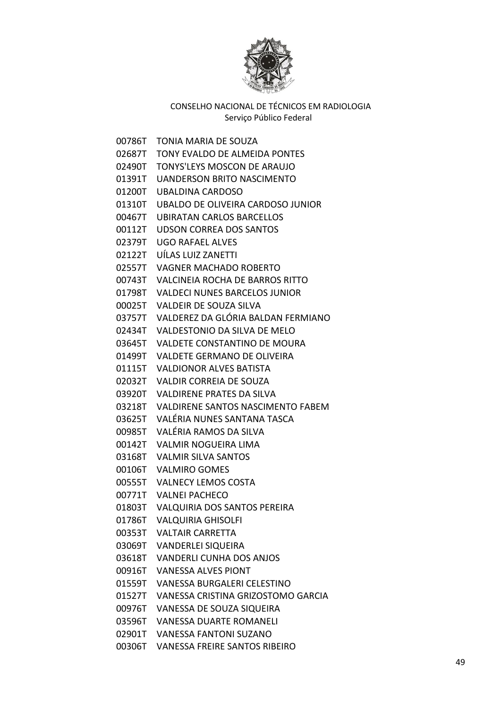

| 00786T | TONIA MARIA DE SOUZA                     |
|--------|------------------------------------------|
| 02687T | TONY EVALDO DE ALMEIDA PONTES            |
| 02490T | TONYS'LEYS MOSCON DE ARAUJO              |
| 01391T | <b>UANDERSON BRITO NASCIMENTO</b>        |
| 01200T | <b>UBALDINA CARDOSO</b>                  |
| 01310T | UBALDO DE OLIVEIRA CARDOSO JUNIOR        |
| 00467T | UBIRATAN CARLOS BARCELLOS                |
| 00112T | <b>UDSON CORREA DOS SANTOS</b>           |
| 02379T | <b>UGO RAFAEL ALVES</b>                  |
| 02122T | UÍLAS LUIZ ZANETTI                       |
| 02557T | <b>VAGNER MACHADO ROBERTO</b>            |
| 00743T | VALCINEIA ROCHA DE BARROS RITTO          |
| 01798T | <b>VALDECI NUNES BARCELOS JUNIOR</b>     |
| 00025T | <b>VALDEIR DE SOUZA SILVA</b>            |
| 03757T | VALDEREZ DA GLÓRIA BALDAN FERMIANO       |
| 02434T | VALDESTONIO DA SILVA DE MELO             |
| 03645T | VALDETE CONSTANTINO DE MOURA             |
| 01499T | VALDETE GERMANO DE OLIVEIRA              |
| 01115T | <b>VALDIONOR ALVES BATISTA</b>           |
| 02032T | <b>VALDIR CORREIA DE SOUZA</b>           |
| 03920T | <b>VALDIRENE PRATES DA SILVA</b>         |
| 03218T | <b>VALDIRENE SANTOS NASCIMENTO FABEM</b> |
| 03625T | VALÉRIA NUNES SANTANA TASCA              |
| 00985T | VALÉRIA RAMOS DA SILVA                   |
| 00142T | <b>VALMIR NOGUEIRA LIMA</b>              |
| 03168T | <b>VALMIR SILVA SANTOS</b>               |
| 00106T | <b>VALMIRO GOMES</b>                     |
| 00555T | <b>VALNECY LEMOS COSTA</b>               |
| 00771T | <b>VALNEI PACHECO</b>                    |
| 01803T | <b>VALQUIRIA DOS SANTOS PEREIRA</b>      |
| 01786T | <b>VALQUIRIA GHISOLFI</b>                |
| 00353T | <b>VALTAIR CARRETTA</b>                  |
| 03069T | <b>VANDERLEI SIQUEIRA</b>                |
| 03618T | <b>VANDERLI CUNHA DOS ANJOS</b>          |
| 00916T | <b>VANESSA ALVES PIONT</b>               |
| 01559T | <b>VANESSA BURGALERI CELESTINO</b>       |
| 01527T | VANESSA CRISTINA GRIZOSTOMO GARCIA       |
| 00976T | VANESSA DE SOUZA SIQUEIRA                |
| 03596T | <b>VANESSA DUARTE ROMANELI</b>           |
| 02901T | <b>VANESSA FANTONI SUZANO</b>            |
| 00306T | <b>VANESSA FREIRE SANTOS RIBEIRO</b>     |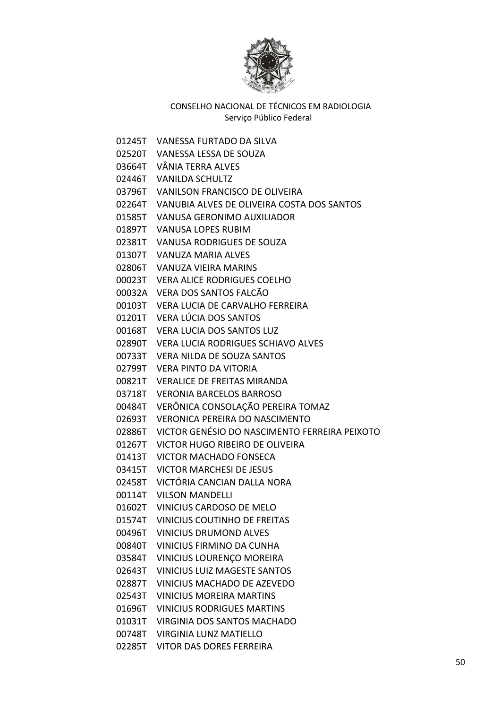

- 01245T VANESSA FURTADO DA SILVA
- 02520T VANESSA LESSA DE SOUZA
- 03664T VÂNIA TERRA ALVES
- 02446T VANILDA SCHULTZ
- 03796T VANILSON FRANCISCO DE OLIVEIRA
- 02264T VANUBIA ALVES DE OLIVEIRA COSTA DOS SANTOS
- 01585T VANUSA GERONIMO AUXILIADOR
- 01897T VANUSA LOPES RUBIM
- 02381T VANUSA RODRIGUES DE SOUZA
- 01307T VANUZA MARIA ALVES
- 02806T VANUZA VIEIRA MARINS
- 00023T VERA ALICE RODRIGUES COELHO
- 00032A VERA DOS SANTOS FALCÃO
- 00103T VERA LUCIA DE CARVALHO FERREIRA
- 01201T VERA LÚCIA DOS SANTOS
- 00168T VERA LUCIA DOS SANTOS LUZ
- 02890T VERA LUCIA RODRIGUES SCHIAVO ALVES
- 00733T VERA NILDA DE SOUZA SANTOS
- 02799T VERA PINTO DA VITORIA
- 00821T VERALICE DE FREITAS MIRANDA
- 03718T VERONIA BARCELOS BARROSO
- 00484T VERÔNICA CONSOLAÇÃO PEREIRA TOMAZ
- 02693T VERONICA PEREIRA DO NASCIMENTO
- 02886T VICTOR GENÉSIO DO NASCIMENTO FERREIRA PEIXOTO
- 01267T VICTOR HUGO RIBEIRO DE OLIVEIRA
- 01413T VICTOR MACHADO FONSECA
- 03415T VICTOR MARCHESI DE JESUS
- 02458T VICTÓRIA CANCIAN DALLA NORA
- 00114T VILSON MANDELLI
- 01602T VINICIUS CARDOSO DE MELO
- 01574T VINICIUS COUTINHO DE FREITAS
- 00496T VINICIUS DRUMOND ALVES
- 00840T VINICIUS FIRMINO DA CUNHA
- 03584T VINICIUS LOURENÇO MOREIRA
- 02643T VINICIUS LUIZ MAGESTE SANTOS
- 02887T VINICIUS MACHADO DE AZEVEDO
- 02543T VINICIUS MOREIRA MARTINS
- 01696T VINICIUS RODRIGUES MARTINS
- 01031T VIRGINIA DOS SANTOS MACHADO
- 00748T VIRGINIA LUNZ MATIELLO
- 02285T VITOR DAS DORES FERREIRA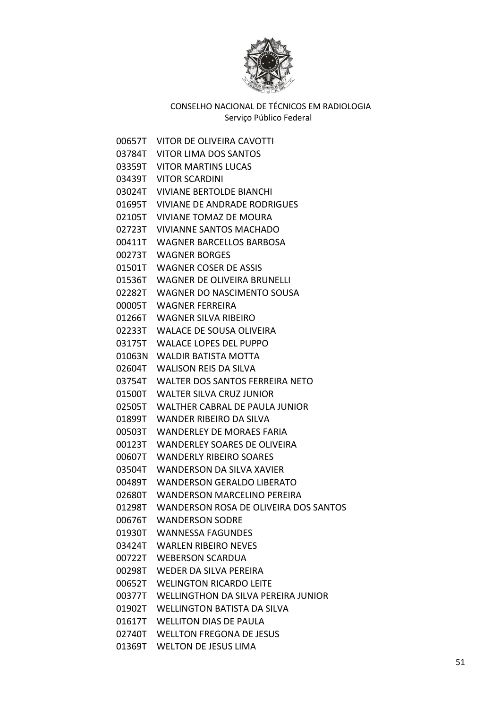

00657T VITOR DE OLIVEIRA CAVOTTI 03784T VITOR LIMA DOS SANTOS 03359T VITOR MARTINS LUCAS 03439T VITOR SCARDINI 03024T VIVIANE BERTOLDE BIANCHI 01695T VIVIANE DE ANDRADE RODRIGUES 02105T VIVIANE TOMAZ DE MOURA 02723T VIVIANNE SANTOS MACHADO 00411T WAGNER BARCELLOS BARBOSA 00273T WAGNER BORGES 01501T WAGNER COSER DE ASSIS 01536T WAGNER DE OLIVEIRA BRUNELLI 02282T WAGNER DO NASCIMENTO SOUSA 00005T WAGNER FERREIRA 01266T WAGNER SILVA RIBEIRO 02233T WALACE DE SOUSA OLIVEIRA 03175T WALACE LOPES DEL PUPPO 01063N WALDIR BATISTA MOTTA 02604T WALISON REIS DA SILVA 03754T WALTER DOS SANTOS FERREIRA NETO 01500T WALTER SILVA CRUZ JUNIOR 02505T WALTHER CABRAL DE PAULA JUNIOR 01899T WANDER RIBEIRO DA SILVA 00503T WANDERLEY DE MORAES FARIA 00123T WANDERLEY SOARES DE OLIVEIRA 00607T WANDERLY RIBEIRO SOARES 03504T WANDERSON DA SILVA XAVIER 00489T WANDERSON GERALDO LIBERATO 02680T WANDERSON MARCELINO PEREIRA 01298T WANDERSON ROSA DE OLIVEIRA DOS SANTOS 00676T WANDERSON SODRE 01930T WANNESSA FAGUNDES 03424T WARLEN RIBEIRO NEVES 00722T WEBERSON SCARDUA 00298T WEDER DA SILVA PEREIRA 00652T WELINGTON RICARDO LEITE 00377T WELLINGTHON DA SILVA PEREIRA JUNIOR 01902T WELLINGTON BATISTA DA SILVA 01617T WELLITON DIAS DE PAULA 02740T WELLTON FREGONA DE JESUS